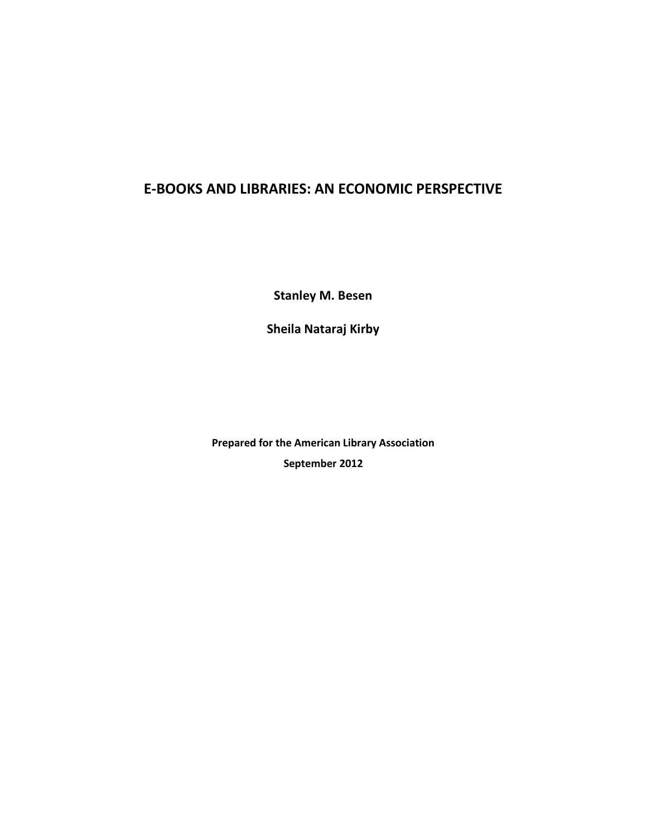# **E-BOOKS AND LIBRARIES: AN ECONOMIC PERSPECTIVE**

**Stanley M. Besen**

**Sheila Nataraj Kirby**

**Prepared for the American Library Association September 2012**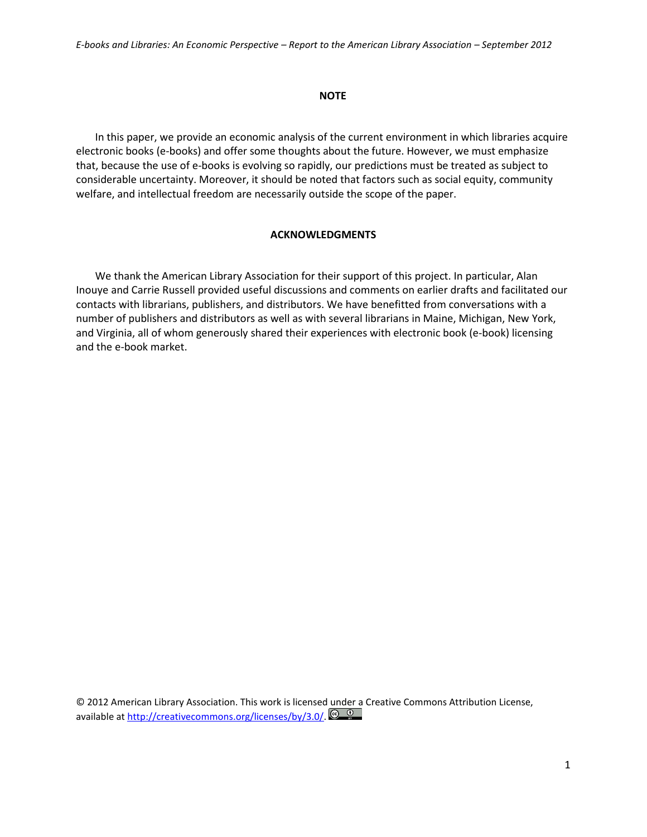#### **NOTE**

In this paper, we provide an economic analysis of the current environment in which libraries acquire electronic books (e-books) and offer some thoughts about the future. However, we must emphasize that, because the use of e-books is evolving so rapidly, our predictions must be treated as subject to considerable uncertainty. Moreover, it should be noted that factors such as social equity, community welfare, and intellectual freedom are necessarily outside the scope of the paper.

## **ACKNOWLEDGMENTS**

We thank the American Library Association for their support of this project. In particular, Alan Inouye and Carrie Russell provided useful discussions and comments on earlier drafts and facilitated our contacts with librarians, publishers, and distributors. We have benefitted from conversations with a number of publishers and distributors as well as with several librarians in Maine, Michigan, New York, and Virginia, all of whom generously shared their experiences with electronic book (e-book) licensing and the e-book market.

© 2012 American Library Association. This work is licensed under a Creative Commons Attribution License, available a[t http://creativecommons.org/licenses/by/3.0/.](http://creativecommons.org/licenses/by/3.0/)  $\bigcirc$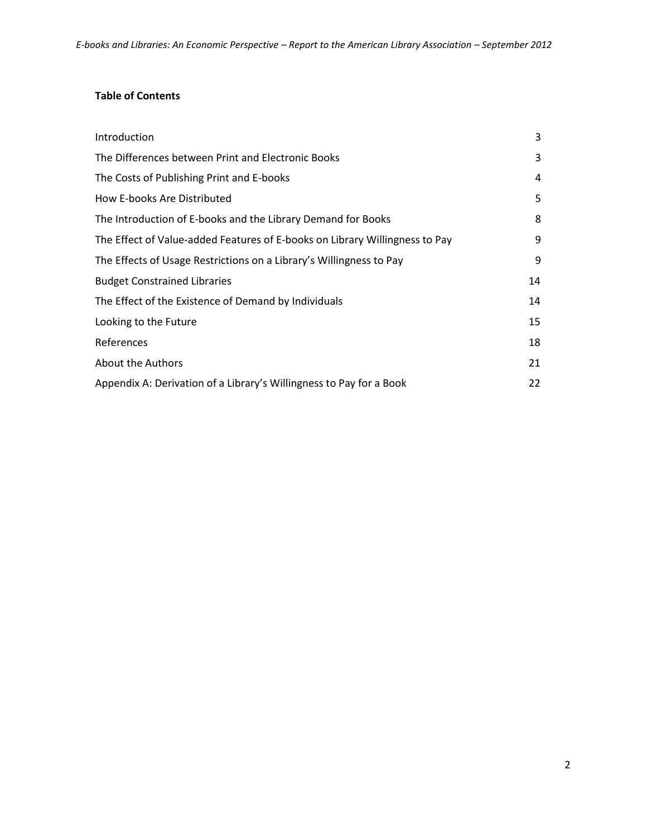# **Table of Contents**

| Introduction                                                                | 3  |
|-----------------------------------------------------------------------------|----|
| The Differences between Print and Electronic Books                          | 3  |
| The Costs of Publishing Print and E-books                                   | 4  |
| How E-books Are Distributed                                                 | 5  |
| The Introduction of E-books and the Library Demand for Books                | 8  |
| The Effect of Value-added Features of E-books on Library Willingness to Pay | 9  |
| The Effects of Usage Restrictions on a Library's Willingness to Pay         | 9  |
| <b>Budget Constrained Libraries</b>                                         | 14 |
| The Effect of the Existence of Demand by Individuals                        | 14 |
| Looking to the Future                                                       | 15 |
| References                                                                  | 18 |
| About the Authors                                                           | 21 |
| Appendix A: Derivation of a Library's Willingness to Pay for a Book         | 22 |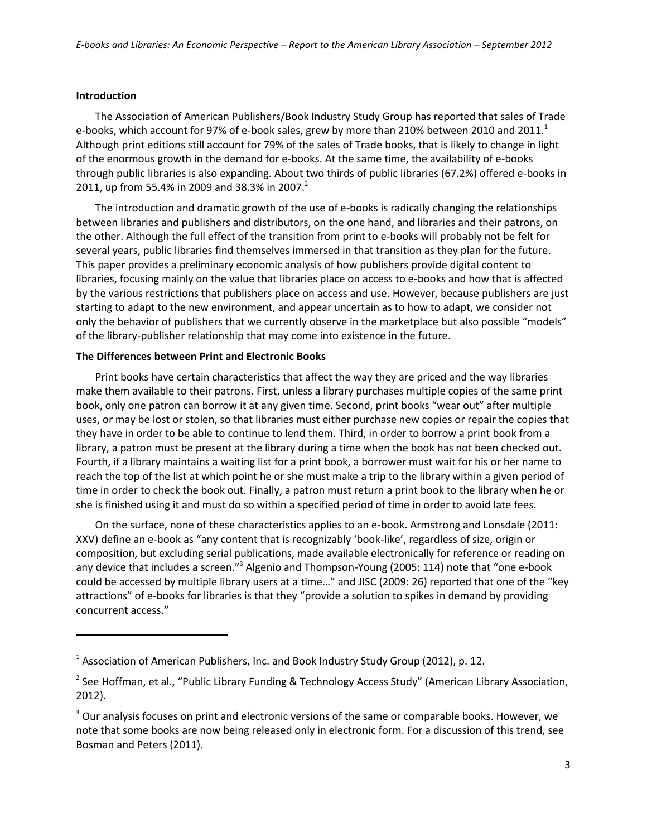#### **Introduction**

 $\overline{a}$ 

The Association of American Publishers/Book Industry Study Group has reported that sales of Trade e-books, which account for 97% of e-book sales, grew by more than 210% between 2010 and 2011. $^1$ Although print editions still account for 79% of the sales of Trade books, that is likely to change in light of the enormous growth in the demand for e-books. At the same time, the availability of e-books through public libraries is also expanding. About two thirds of public libraries (67.2%) offered e-books in 2011, up from 55.4% in 2009 and 38.3% in 2007.<sup>2</sup>

The introduction and dramatic growth of the use of e-books is radically changing the relationships between libraries and publishers and distributors, on the one hand, and libraries and their patrons, on the other. Although the full effect of the transition from print to e-books will probably not be felt for several years, public libraries find themselves immersed in that transition as they plan for the future. This paper provides a preliminary economic analysis of how publishers provide digital content to libraries, focusing mainly on the value that libraries place on access to e-books and how that is affected by the various restrictions that publishers place on access and use. However, because publishers are just starting to adapt to the new environment, and appear uncertain as to how to adapt, we consider not only the behavior of publishers that we currently observe in the marketplace but also possible "models" of the library-publisher relationship that may come into existence in the future.

#### **The Differences between Print and Electronic Books**

Print books have certain characteristics that affect the way they are priced and the way libraries make them available to their patrons. First, unless a library purchases multiple copies of the same print book, only one patron can borrow it at any given time. Second, print books "wear out" after multiple uses, or may be lost or stolen, so that libraries must either purchase new copies or repair the copies that they have in order to be able to continue to lend them. Third, in order to borrow a print book from a library, a patron must be present at the library during a time when the book has not been checked out. Fourth, if a library maintains a waiting list for a print book, a borrower must wait for his or her name to reach the top of the list at which point he or she must make a trip to the library within a given period of time in order to check the book out. Finally, a patron must return a print book to the library when he or she is finished using it and must do so within a specified period of time in order to avoid late fees.

On the surface, none of these characteristics applies to an e-book. Armstrong and Lonsdale (2011: XXV) define an e-book as "any content that is recognizably 'book-like', regardless of size, origin or composition, but excluding serial publications, made available electronically for reference or reading on any device that includes a screen."<sup>3</sup> Algenio and Thompson-Young (2005: 114) note that "one e-book could be accessed by multiple library users at a time…" and JISC (2009: 26) reported that one of the "key attractions" of e-books for libraries is that they "provide a solution to spikes in demand by providing concurrent access."

 $<sup>1</sup>$  Association of American Publishers, Inc. and Book Industry Study Group (2012), p. 12.</sup>

<sup>&</sup>lt;sup>2</sup> See Hoffman, et al., "Public Library Funding & Technology Access Study" (American Library Association, 2012).

 $3$  Our analysis focuses on print and electronic versions of the same or comparable books. However, we note that some books are now being released only in electronic form. For a discussion of this trend, see Bosman and Peters (2011).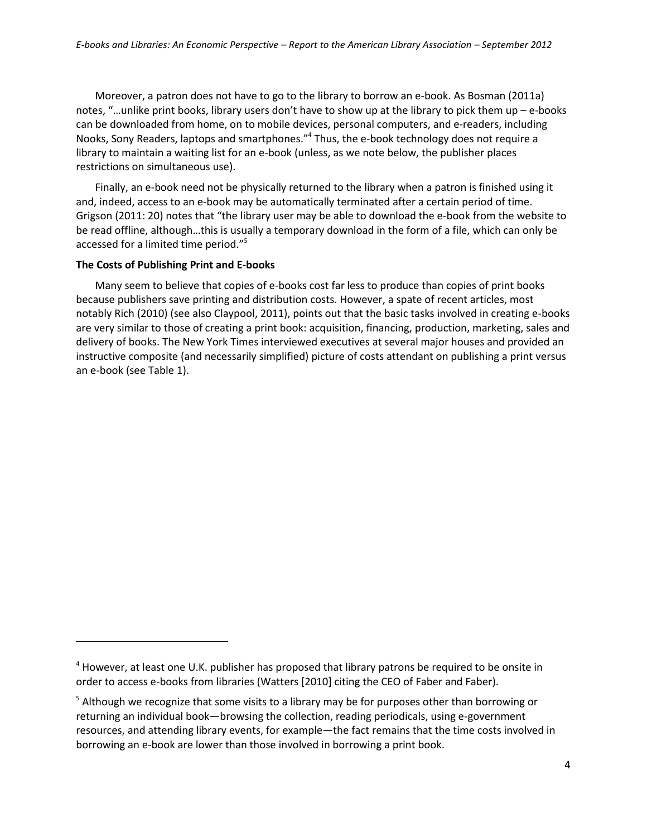Moreover, a patron does not have to go to the library to borrow an e-book. As Bosman (2011a) notes, "…unlike print books, library users don't have to show up at the library to pick them up – e-books can be downloaded from home, on to mobile devices, personal computers, and e-readers, including Nooks, Sony Readers, laptops and smartphones."<sup>4</sup> Thus, the e-book technology does not require a library to maintain a waiting list for an e-book (unless, as we note below, the publisher places restrictions on simultaneous use).

Finally, an e-book need not be physically returned to the library when a patron is finished using it and, indeed, access to an e-book may be automatically terminated after a certain period of time. Grigson (2011: 20) notes that "the library user may be able to download the e-book from the website to be read offline, although…this is usually a temporary download in the form of a file, which can only be accessed for a limited time period." 5

#### **The Costs of Publishing Print and E-books**

 $\overline{a}$ 

Many seem to believe that copies of e-books cost far less to produce than copies of print books because publishers save printing and distribution costs. However, a spate of recent articles, most notably Rich (2010) (see also Claypool, 2011), points out that the basic tasks involved in creating e-books are very similar to those of creating a print book: acquisition, financing, production, marketing, sales and delivery of books. The New York Times interviewed executives at several major houses and provided an instructive composite (and necessarily simplified) picture of costs attendant on publishing a print versus an e-book (see Table 1).

 $<sup>4</sup>$  However, at least one U.K. publisher has proposed that library patrons be required to be onsite in</sup> order to access e-books from libraries (Watters [2010] citing the CEO of Faber and Faber).

<sup>&</sup>lt;sup>5</sup> Although we recognize that some visits to a library may be for purposes other than borrowing or returning an individual book—browsing the collection, reading periodicals, using e-government resources, and attending library events, for example—the fact remains that the time costs involved in borrowing an e-book are lower than those involved in borrowing a print book.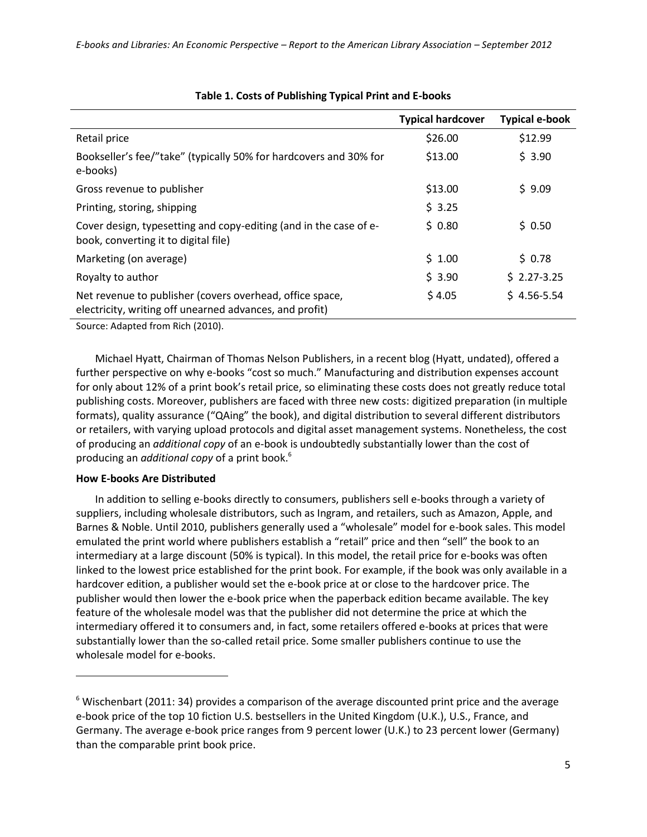|                                                                                                                     | <b>Typical hardcover</b> | <b>Typical e-book</b> |
|---------------------------------------------------------------------------------------------------------------------|--------------------------|-----------------------|
| Retail price                                                                                                        | \$26.00                  | \$12.99               |
| Bookseller's fee/"take" (typically 50% for hardcovers and 30% for<br>e-books)                                       | \$13.00                  | \$3.90                |
| Gross revenue to publisher                                                                                          | \$13.00                  | \$9.09                |
| Printing, storing, shipping                                                                                         | \$3.25                   |                       |
| Cover design, typesetting and copy-editing (and in the case of e-<br>book, converting it to digital file)           | $S$ 0.80                 | \$0.50                |
| Marketing (on average)                                                                                              | \$1.00                   | \$0.78                |
| Royalty to author                                                                                                   | \$3.90                   | $$2.27-3.25$          |
| Net revenue to publisher (covers overhead, office space,<br>electricity, writing off unearned advances, and profit) | \$4.05                   | $$4.56 - 5.54$        |

## **Table 1. Costs of Publishing Typical Print and E-books**

Source: Adapted from Rich (2010).

Michael Hyatt, Chairman of Thomas Nelson Publishers, in a recent blog (Hyatt, undated), offered a further perspective on why e-books "cost so much." Manufacturing and distribution expenses account for only about 12% of a print book's retail price, so eliminating these costs does not greatly reduce total publishing costs. Moreover, publishers are faced with three new costs: digitized preparation (in multiple formats), quality assurance ("QAing" the book), and digital distribution to several different distributors or retailers, with varying upload protocols and digital asset management systems. Nonetheless, the cost of producing an *additional copy* of an e-book is undoubtedly substantially lower than the cost of producing an *additional copy* of a print book.<sup>6</sup>

#### **How E-books Are Distributed**

 $\overline{a}$ 

In addition to selling e-books directly to consumers, publishers sell e-books through a variety of suppliers, including wholesale distributors, such as Ingram, and retailers, such as Amazon, Apple, and Barnes & Noble. Until 2010, publishers generally used a "wholesale" model for e-book sales. This model emulated the print world where publishers establish a "retail" price and then "sell" the book to an intermediary at a large discount (50% is typical). In this model, the retail price for e-books was often linked to the lowest price established for the print book. For example, if the book was only available in a hardcover edition, a publisher would set the e-book price at or close to the hardcover price. The publisher would then lower the e-book price when the paperback edition became available. The key feature of the wholesale model was that the publisher did not determine the price at which the intermediary offered it to consumers and, in fact, some retailers offered e-books at prices that were substantially lower than the so-called retail price. Some smaller publishers continue to use the wholesale model for e-books.

 $6$  Wischenbart (2011: 34) provides a comparison of the average discounted print price and the average e-book price of the top 10 fiction U.S. bestsellers in the United Kingdom (U.K.), U.S., France, and Germany. The average e-book price ranges from 9 percent lower (U.K.) to 23 percent lower (Germany) than the comparable print book price.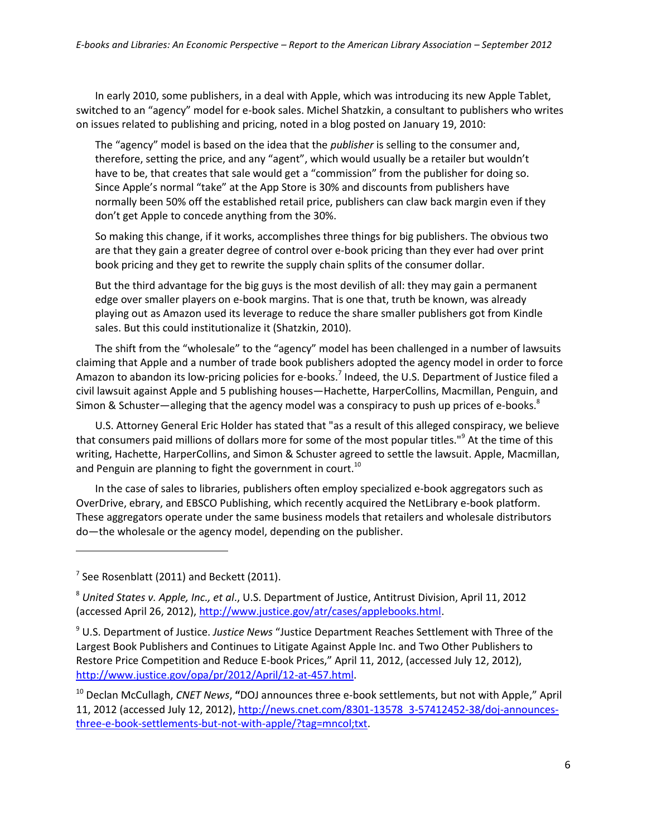In early 2010, some publishers, in a deal with Apple, which was introducing its new Apple Tablet, switched to an "agency" model for e-book sales. Michel Shatzkin, a consultant to publishers who writes on issues related to publishing and pricing, noted in a blog posted on January 19, 2010:

The "agency" model is based on the idea that the *publisher* is selling to the consumer and, therefore, setting the price, and any "agent", which would usually be a retailer but wouldn't have to be, that creates that sale would get a "commission" from the publisher for doing so. Since Apple's normal "take" at the App Store is 30% and discounts from publishers have normally been 50% off the established retail price, publishers can claw back margin even if they don't get Apple to concede anything from the 30%.

So making this change, if it works, accomplishes three things for big publishers. The obvious two are that they gain a greater degree of control over e-book pricing than they ever had over print book pricing and they get to rewrite the supply chain splits of the consumer dollar.

But the third advantage for the big guys is the most devilish of all: they may gain a permanent edge over smaller players on e-book margins. That is one that, truth be known, was already playing out as Amazon used its leverage to reduce the share smaller publishers got from Kindle sales. But this could institutionalize it (Shatzkin, 2010).

The shift from the "wholesale" to the "agency" model has been challenged in a number of lawsuits claiming that Apple and a number of trade book publishers adopted the agency model in order to force Amazon to abandon its low-pricing policies for e-books.<sup>7</sup> Indeed, the U.S. Department of Justice filed a civil lawsuit against Apple and 5 publishing houses—Hachette, HarperCollins, Macmillan, Penguin, and Simon & Schuster—alleging that the agency model was a conspiracy to push up prices of e-books.<sup>8</sup>

U.S. Attorney General Eric Holder has stated that "as a result of this alleged conspiracy, we believe that consumers paid millions of dollars more for some of the most popular titles."<sup>9</sup> At the time of this writing, Hachette, HarperCollins, and Simon & Schuster agreed to settle the lawsuit. Apple, Macmillan, and Penguin are planning to fight the government in court. $10$ 

In the case of sales to libraries, publishers often employ specialized e-book aggregators such as OverDrive, ebrary, and EBSCO Publishing, which recently acquired the NetLibrary e-book platform. These aggregators operate under the same business models that retailers and wholesale distributors do—the wholesale or the agency model, depending on the publisher.

 $7$  See Rosenblatt (2011) and Beckett (2011).

<sup>8</sup> *United States v. Apple, Inc., et al*., U.S. Department of Justice, Antitrust Division, April 11, 2012 (accessed April 26, 2012)[, http://www.justice.gov/atr/cases/applebooks.html.](http://www.justice.gov/atr/cases/applebooks.html)

<sup>9</sup> U.S. Department of Justice. *Justice News* "Justice Department Reaches Settlement with Three of the Largest Book Publishers and Continues to Litigate Against Apple Inc. and Two Other Publishers to Restore Price Competition and Reduce E-book Prices," April 11, 2012, (accessed July 12, 2012), [http://www.justice.gov/opa/pr/2012/April/12-at-457.html.](http://www.justice.gov/opa/pr/2012/April/12-at-457.html)

<sup>10</sup> Declan McCullagh, *CNET News*, **"**DOJ announces three e-book settlements, but not with Apple," April 11, 2012 (accessed July 12, 2012), [http://news.cnet.com/8301-13578\\_3-57412452-38/doj-announces](http://news.cnet.com/8301-13578_3-57412452-38/doj-announces-three-e-book-settlements-but-not-with-apple/?tag=mncol;txt)[three-e-book-settlements-but-not-with-apple/?tag=mncol;txt.](http://news.cnet.com/8301-13578_3-57412452-38/doj-announces-three-e-book-settlements-but-not-with-apple/?tag=mncol;txt)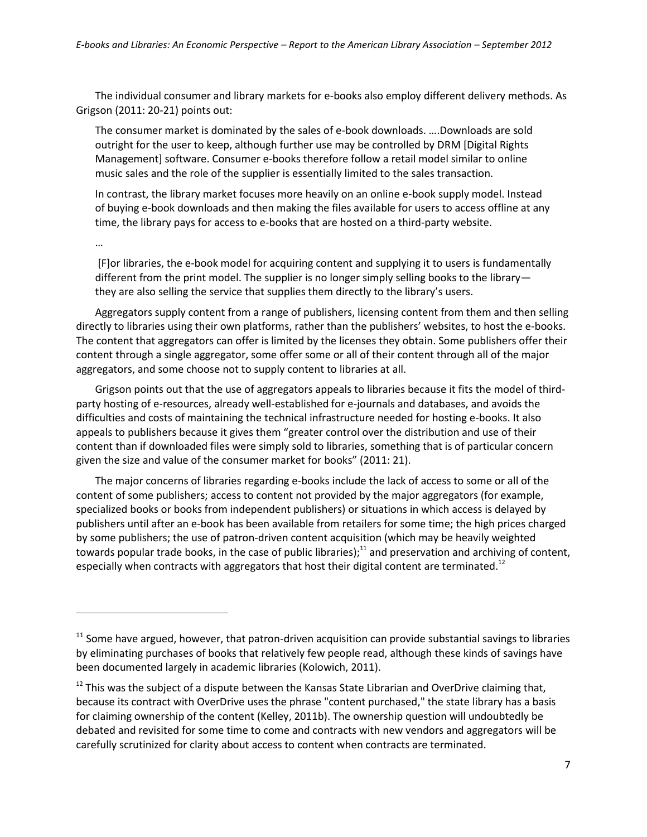The individual consumer and library markets for e-books also employ different delivery methods. As Grigson (2011: 20-21) points out:

The consumer market is dominated by the sales of e-book downloads. ….Downloads are sold outright for the user to keep, although further use may be controlled by DRM [Digital Rights Management] software. Consumer e-books therefore follow a retail model similar to online music sales and the role of the supplier is essentially limited to the sales transaction.

In contrast, the library market focuses more heavily on an online e-book supply model. Instead of buying e-book downloads and then making the files available for users to access offline at any time, the library pays for access to e-books that are hosted on a third-party website.

…

 $\overline{a}$ 

[F]or libraries, the e-book model for acquiring content and supplying it to users is fundamentally different from the print model. The supplier is no longer simply selling books to the library they are also selling the service that supplies them directly to the library's users.

Aggregators supply content from a range of publishers, licensing content from them and then selling directly to libraries using their own platforms, rather than the publishers' websites, to host the e-books. The content that aggregators can offer is limited by the licenses they obtain. Some publishers offer their content through a single aggregator, some offer some or all of their content through all of the major aggregators, and some choose not to supply content to libraries at all.

Grigson points out that the use of aggregators appeals to libraries because it fits the model of thirdparty hosting of e-resources, already well-established for e-journals and databases, and avoids the difficulties and costs of maintaining the technical infrastructure needed for hosting e-books. It also appeals to publishers because it gives them "greater control over the distribution and use of their content than if downloaded files were simply sold to libraries, something that is of particular concern given the size and value of the consumer market for books" (2011: 21).

The major concerns of libraries regarding e-books include the lack of access to some or all of the content of some publishers; access to content not provided by the major aggregators (for example, specialized books or books from independent publishers) or situations in which access is delayed by publishers until after an e-book has been available from retailers for some time; the high prices charged by some publishers; the use of patron-driven content acquisition (which may be heavily weighted towards popular trade books, in the case of public libraries);<sup>11</sup> and preservation and archiving of content, especially when contracts with aggregators that host their digital content are terminated.<sup>12</sup>

 $11$  Some have argued, however, that patron-driven acquisition can provide substantial savings to libraries by eliminating purchases of books that relatively few people read, although these kinds of savings have been documented largely in academic libraries (Kolowich, 2011).

 $12$  This was the subject of a dispute between the Kansas State Librarian and OverDrive claiming that, because its contract with OverDrive uses the phrase "content purchased," the state library has a basis for claiming ownership of the content (Kelley, 2011b). The ownership question will undoubtedly be debated and revisited for some time to come and contracts with new vendors and aggregators will be carefully scrutinized for clarity about access to content when contracts are terminated.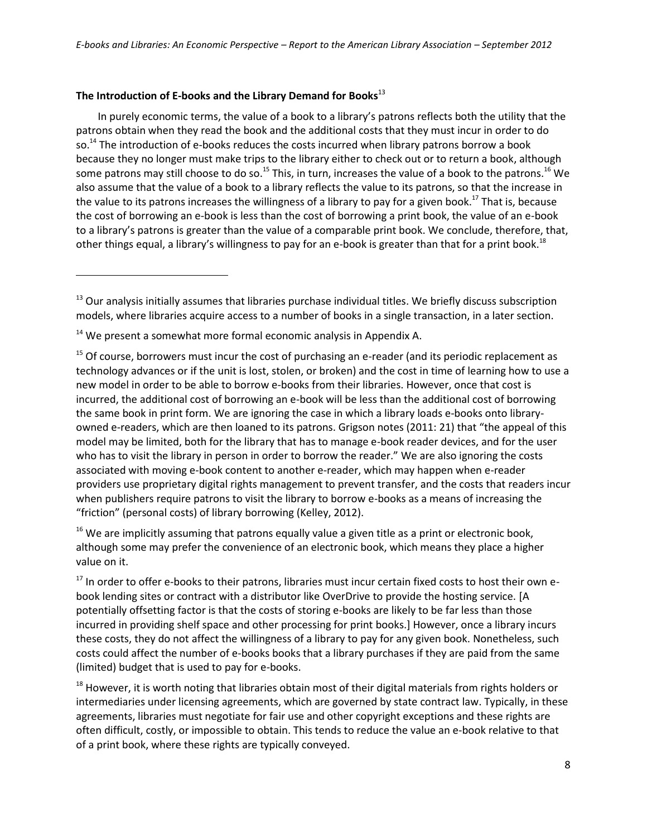# **The Introduction of E-books and the Library Demand for Books**<sup>13</sup>

In purely economic terms, the value of a book to a library's patrons reflects both the utility that the patrons obtain when they read the book and the additional costs that they must incur in order to do so.<sup>14</sup> The introduction of e-books reduces the costs incurred when library patrons borrow a book because they no longer must make trips to the library either to check out or to return a book, although some patrons may still choose to do so.<sup>15</sup> This, in turn, increases the value of a book to the patrons.<sup>16</sup> We also assume that the value of a book to a library reflects the value to its patrons, so that the increase in the value to its patrons increases the willingness of a library to pay for a given book.<sup>17</sup> That is, because the cost of borrowing an e-book is less than the cost of borrowing a print book, the value of an e-book to a library's patrons is greater than the value of a comparable print book. We conclude, therefore, that, other things equal, a library's willingness to pay for an e-book is greater than that for a print book.<sup>18</sup>

 $\overline{a}$ 

 $16$  We are implicitly assuming that patrons equally value a given title as a print or electronic book, although some may prefer the convenience of an electronic book, which means they place a higher value on it.

<sup>17</sup> In order to offer e-books to their patrons, libraries must incur certain fixed costs to host their own ebook lending sites or contract with a distributor like OverDrive to provide the hosting service. [A potentially offsetting factor is that the costs of storing e-books are likely to be far less than those incurred in providing shelf space and other processing for print books.] However, once a library incurs these costs, they do not affect the willingness of a library to pay for any given book. Nonetheless, such costs could affect the number of e-books books that a library purchases if they are paid from the same (limited) budget that is used to pay for e-books.

 $18$  However, it is worth noting that libraries obtain most of their digital materials from rights holders or intermediaries under licensing agreements, which are governed by state contract law. Typically, in these agreements, libraries must negotiate for fair use and other copyright exceptions and these rights are often difficult, costly, or impossible to obtain. This tends to reduce the value an e-book relative to that of a print book, where these rights are typically conveyed.

 $13$  Our analysis initially assumes that libraries purchase individual titles. We briefly discuss subscription models, where libraries acquire access to a number of books in a single transaction, in a later section.

 $14$  We present a somewhat more formal economic analysis in Appendix A.

 $15$  Of course, borrowers must incur the cost of purchasing an e-reader (and its periodic replacement as technology advances or if the unit is lost, stolen, or broken) and the cost in time of learning how to use a new model in order to be able to borrow e-books from their libraries. However, once that cost is incurred, the additional cost of borrowing an e-book will be less than the additional cost of borrowing the same book in print form. We are ignoring the case in which a library loads e-books onto libraryowned e-readers, which are then loaned to its patrons. Grigson notes (2011: 21) that "the appeal of this model may be limited, both for the library that has to manage e-book reader devices, and for the user who has to visit the library in person in order to borrow the reader." We are also ignoring the costs associated with moving e-book content to another e-reader, which may happen when e-reader providers use proprietary digital rights management to prevent transfer, and the costs that readers incur when publishers require patrons to visit the library to borrow e-books as a means of increasing the "friction" (personal costs) of library borrowing (Kelley, 2012).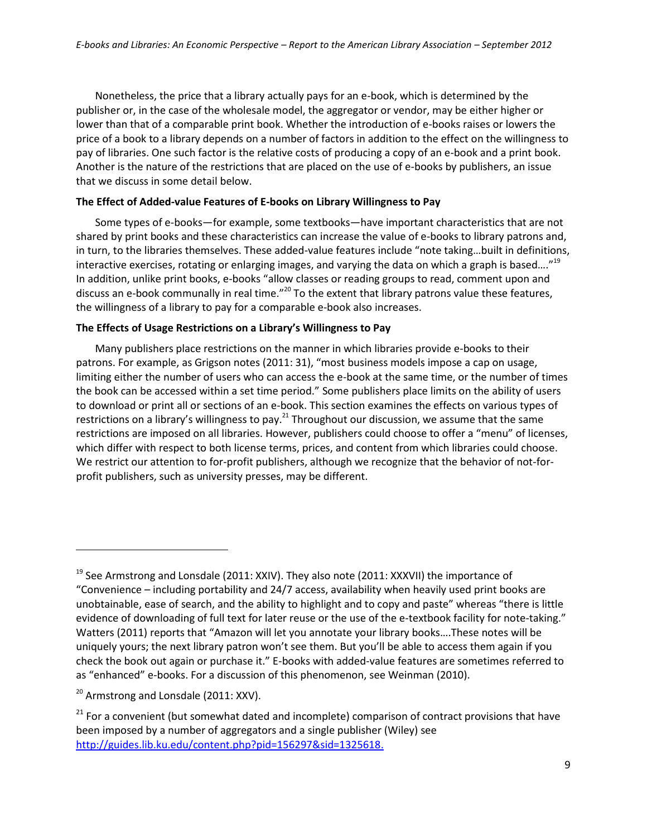Nonetheless, the price that a library actually pays for an e-book, which is determined by the publisher or, in the case of the wholesale model, the aggregator or vendor, may be either higher or lower than that of a comparable print book. Whether the introduction of e-books raises or lowers the price of a book to a library depends on a number of factors in addition to the effect on the willingness to pay of libraries. One such factor is the relative costs of producing a copy of an e-book and a print book. Another is the nature of the restrictions that are placed on the use of e-books by publishers, an issue that we discuss in some detail below.

#### **The Effect of Added-value Features of E-books on Library Willingness to Pay**

Some types of e-books—for example, some textbooks—have important characteristics that are not shared by print books and these characteristics can increase the value of e-books to library patrons and, in turn, to the libraries themselves. These added-value features include "note taking…built in definitions, interactive exercises, rotating or enlarging images, and varying the data on which a graph is based...."<sup>19</sup> In addition, unlike print books, e-books "allow classes or reading groups to read, comment upon and discuss an e-book communally in real time."<sup>20</sup> To the extent that library patrons value these features, the willingness of a library to pay for a comparable e-book also increases.

## **The Effects of Usage Restrictions on a Library's Willingness to Pay**

Many publishers place restrictions on the manner in which libraries provide e-books to their patrons. For example, as Grigson notes (2011: 31), "most business models impose a cap on usage, limiting either the number of users who can access the e-book at the same time, or the number of times the book can be accessed within a set time period." Some publishers place limits on the ability of users to download or print all or sections of an e-book. This section examines the effects on various types of restrictions on a library's willingness to pay.<sup>21</sup> Throughout our discussion, we assume that the same restrictions are imposed on all libraries. However, publishers could choose to offer a "menu" of licenses, which differ with respect to both license terms, prices, and content from which libraries could choose. We restrict our attention to for-profit publishers, although we recognize that the behavior of not-forprofit publishers, such as university presses, may be different.

 $19$  See Armstrong and Lonsdale (2011: XXIV). They also note (2011: XXXVII) the importance of "Convenience – including portability and 24/7 access, availability when heavily used print books are unobtainable, ease of search, and the ability to highlight and to copy and paste" whereas "there is little evidence of downloading of full text for later reuse or the use of the e-textbook facility for note-taking." Watters (2011) reports that "Amazon will let you annotate your library books….These notes will be uniquely yours; the next library patron won't see them. But you'll be able to access them again if you check the book out again or purchase it." E-books with added-value features are sometimes referred to as "enhanced" e-books. For a discussion of this phenomenon, see Weinman (2010).

 $20$  Armstrong and Lonsdale (2011: XXV).

 $21$  For a convenient (but somewhat dated and incomplete) comparison of contract provisions that have been imposed by a number of aggregators and a single publisher (Wiley) see [http://guides.lib.ku.edu/content.php?pid=156297&sid=1325618.](http://guides.lib.ku.edu/content.php?pid=156297&sid=1325618)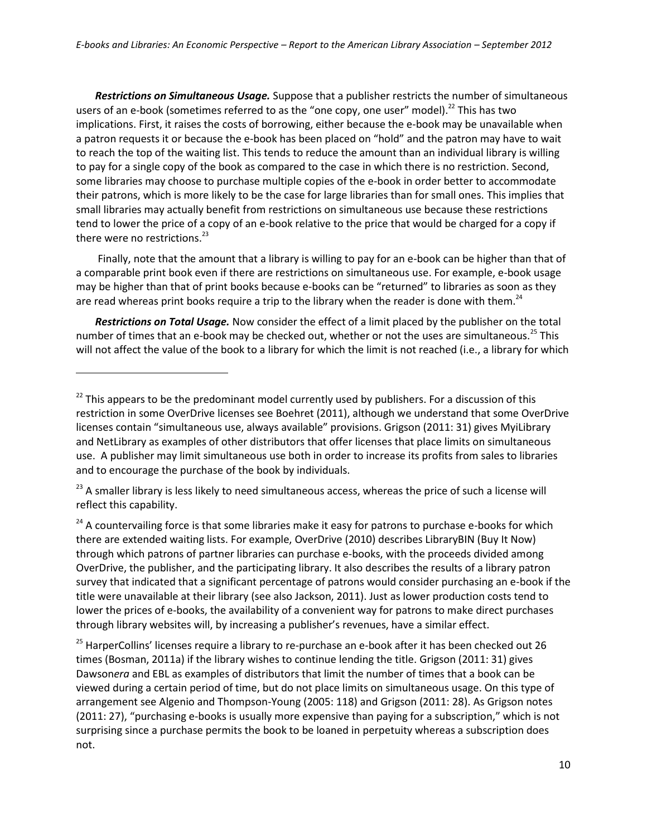*Restrictions on Simultaneous Usage.* Suppose that a publisher restricts the number of simultaneous users of an e-book (sometimes referred to as the "one copy, one user" model).<sup>22</sup> This has two implications. First, it raises the costs of borrowing, either because the e-book may be unavailable when a patron requests it or because the e-book has been placed on "hold" and the patron may have to wait to reach the top of the waiting list. This tends to reduce the amount than an individual library is willing to pay for a single copy of the book as compared to the case in which there is no restriction. Second, some libraries may choose to purchase multiple copies of the e-book in order better to accommodate their patrons, which is more likely to be the case for large libraries than for small ones. This implies that small libraries may actually benefit from restrictions on simultaneous use because these restrictions tend to lower the price of a copy of an e-book relative to the price that would be charged for a copy if there were no restrictions. $^{23}$ 

Finally, note that the amount that a library is willing to pay for an e-book can be higher than that of a comparable print book even if there are restrictions on simultaneous use. For example, e-book usage may be higher than that of print books because e-books can be "returned" to libraries as soon as they are read whereas print books require a trip to the library when the reader is done with them.<sup>24</sup>

*Restrictions on Total Usage.* Now consider the effect of a limit placed by the publisher on the total number of times that an e-book may be checked out, whether or not the uses are simultaneous.<sup>25</sup> This will not affect the value of the book to a library for which the limit is not reached (i.e., a library for which

 $\overline{a}$ 

<sup>23</sup> A smaller library is less likely to need simultaneous access, whereas the price of such a license will reflect this capability.

<sup>24</sup> A countervailing force is that some libraries make it easy for patrons to purchase e-books for which there are extended waiting lists. For example, OverDrive (2010) describes LibraryBIN (Buy It Now) through which patrons of partner libraries can purchase e-books, with the proceeds divided among OverDrive, the publisher, and the participating library. It also describes the results of a library patron survey that indicated that a significant percentage of patrons would consider purchasing an e-book if the title were unavailable at their library (see also Jackson, 2011). Just as lower production costs tend to lower the prices of e-books, the availability of a convenient way for patrons to make direct purchases through library websites will, by increasing a publisher's revenues, have a similar effect.

<sup>25</sup> HarperCollins' licenses require a library to re-purchase an e-book after it has been checked out 26 times (Bosman, 2011a) if the library wishes to continue lending the title. Grigson (2011: 31) gives Dawson*era* and EBL as examples of distributors that limit the number of times that a book can be viewed during a certain period of time, but do not place limits on simultaneous usage. On this type of arrangement see Algenio and Thompson-Young (2005: 118) and Grigson (2011: 28). As Grigson notes (2011: 27), "purchasing e-books is usually more expensive than paying for a subscription," which is not surprising since a purchase permits the book to be loaned in perpetuity whereas a subscription does not.

 $22$  This appears to be the predominant model currently used by publishers. For a discussion of this restriction in some OverDrive licenses see Boehret (2011), although we understand that some OverDrive licenses contain "simultaneous use, always available" provisions. Grigson (2011: 31) gives MyiLibrary and NetLibrary as examples of other distributors that offer licenses that place limits on simultaneous use. A publisher may limit simultaneous use both in order to increase its profits from sales to libraries and to encourage the purchase of the book by individuals.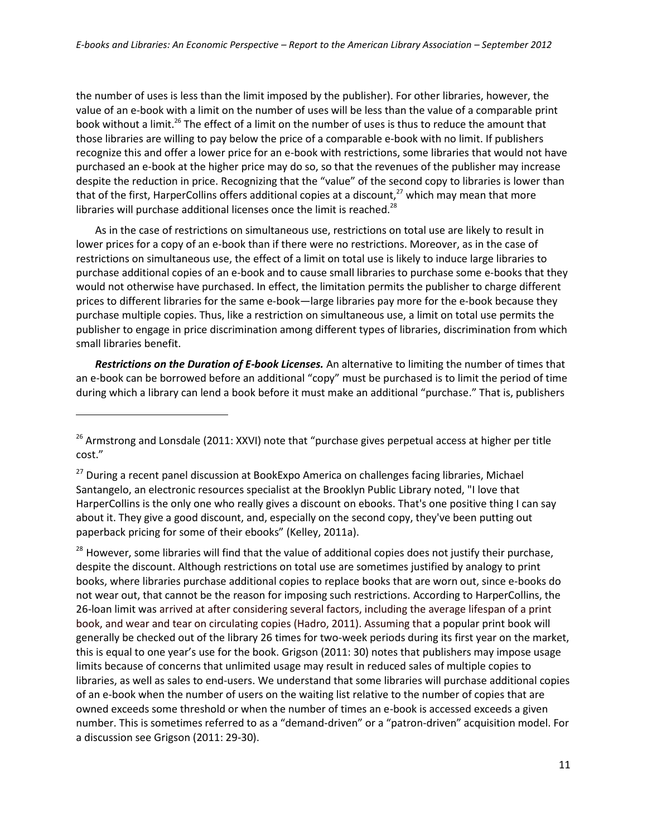the number of uses is less than the limit imposed by the publisher). For other libraries, however, the value of an e-book with a limit on the number of uses will be less than the value of a comparable print book without a limit.<sup>26</sup> The effect of a limit on the number of uses is thus to reduce the amount that those libraries are willing to pay below the price of a comparable e-book with no limit. If publishers recognize this and offer a lower price for an e-book with restrictions, some libraries that would not have purchased an e-book at the higher price may do so, so that the revenues of the publisher may increase despite the reduction in price. Recognizing that the "value" of the second copy to libraries is lower than that of the first, HarperCollins offers additional copies at a discount, $^{27}$  which may mean that more libraries will purchase additional licenses once the limit is reached.<sup>28</sup>

As in the case of restrictions on simultaneous use, restrictions on total use are likely to result in lower prices for a copy of an e-book than if there were no restrictions. Moreover, as in the case of restrictions on simultaneous use, the effect of a limit on total use is likely to induce large libraries to purchase additional copies of an e-book and to cause small libraries to purchase some e-books that they would not otherwise have purchased. In effect, the limitation permits the publisher to charge different prices to different libraries for the same e-book—large libraries pay more for the e-book because they purchase multiple copies. Thus, like a restriction on simultaneous use, a limit on total use permits the publisher to engage in price discrimination among different types of libraries, discrimination from which small libraries benefit.

*Restrictions on the Duration of E-book Licenses.* An alternative to limiting the number of times that an e-book can be borrowed before an additional "copy" must be purchased is to limit the period of time during which a library can lend a book before it must make an additional "purchase." That is, publishers

 $\overline{a}$ 

<sup>28</sup> However, some libraries will find that the value of additional copies does not justify their purchase, despite the discount. Although restrictions on total use are sometimes justified by analogy to print books, where libraries purchase additional copies to replace books that are worn out, since e-books do not wear out, that cannot be the reason for imposing such restrictions. According to HarperCollins, the 26-loan limit was arrived at after considering several factors, including the average lifespan of a print book, and wear and tear on circulating copies (Hadro, 2011). Assuming that a popular print book will generally be checked out of the library 26 times for two-week periods during its first year on the market, this is equal to one year's use for the book. Grigson (2011: 30) notes that publishers may impose usage limits because of concerns that unlimited usage may result in reduced sales of multiple copies to libraries, as well as sales to end-users. We understand that some libraries will purchase additional copies of an e-book when the number of users on the waiting list relative to the number of copies that are owned exceeds some threshold or when the number of times an e-book is accessed exceeds a given number. This is sometimes referred to as a "demand-driven" or a "patron-driven" acquisition model. For a discussion see Grigson (2011: 29-30).

<sup>&</sup>lt;sup>26</sup> Armstrong and Lonsdale (2011: XXVI) note that "purchase gives perpetual access at higher per title cost."

 $27$  During a recent panel discussion at BookExpo America on challenges facing libraries, Michael Santangelo, an electronic resources specialist at the Brooklyn Public Library noted, "I love that HarperCollins is the only one who really gives a discount on ebooks. That's one positive thing I can say about it. They give a good discount, and, especially on the second copy, they've been putting out paperback pricing for some of their ebooks" (Kelley, 2011a).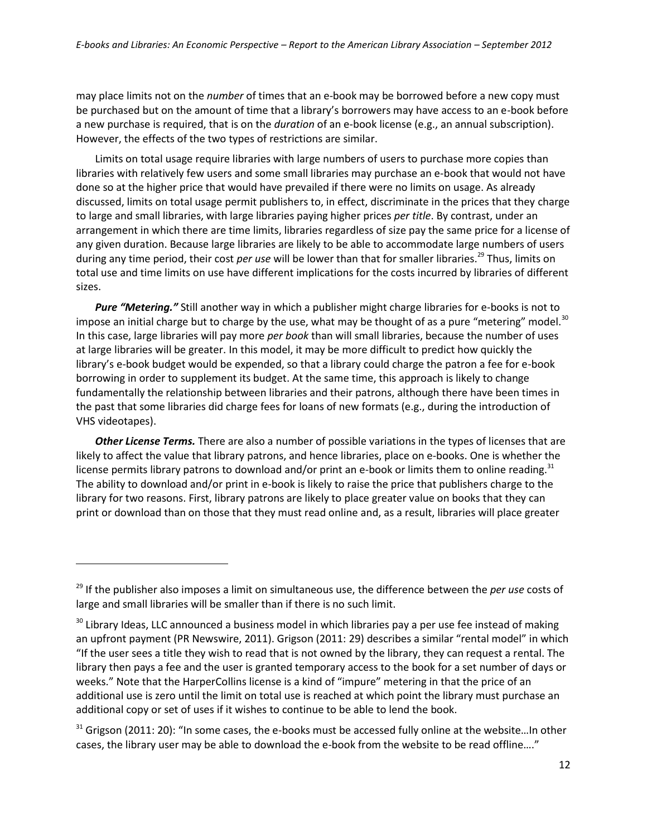may place limits not on the *number* of times that an e-book may be borrowed before a new copy must be purchased but on the amount of time that a library's borrowers may have access to an e-book before a new purchase is required, that is on the *duration* of an e-book license (e.g., an annual subscription). However, the effects of the two types of restrictions are similar.

Limits on total usage require libraries with large numbers of users to purchase more copies than libraries with relatively few users and some small libraries may purchase an e-book that would not have done so at the higher price that would have prevailed if there were no limits on usage. As already discussed, limits on total usage permit publishers to, in effect, discriminate in the prices that they charge to large and small libraries, with large libraries paying higher prices *per title*. By contrast, under an arrangement in which there are time limits, libraries regardless of size pay the same price for a license of any given duration. Because large libraries are likely to be able to accommodate large numbers of users during any time period, their cost *per use* will be lower than that for smaller libraries.<sup>29</sup> Thus, limits on total use and time limits on use have different implications for the costs incurred by libraries of different sizes.

*Pure "Metering."* Still another way in which a publisher might charge libraries for e-books is not to impose an initial charge but to charge by the use, what may be thought of as a pure "metering" model.<sup>30</sup> In this case, large libraries will pay more *per book* than will small libraries, because the number of uses at large libraries will be greater. In this model, it may be more difficult to predict how quickly the library's e-book budget would be expended, so that a library could charge the patron a fee for e-book borrowing in order to supplement its budget. At the same time, this approach is likely to change fundamentally the relationship between libraries and their patrons, although there have been times in the past that some libraries did charge fees for loans of new formats (e.g., during the introduction of VHS videotapes).

*Other License Terms.* There are also a number of possible variations in the types of licenses that are likely to affect the value that library patrons, and hence libraries, place on e-books. One is whether the license permits library patrons to download and/or print an e-book or limits them to online reading.<sup>31</sup> The ability to download and/or print in e-book is likely to raise the price that publishers charge to the library for two reasons. First, library patrons are likely to place greater value on books that they can print or download than on those that they must read online and, as a result, libraries will place greater

<sup>&</sup>lt;sup>29</sup> If the publisher also imposes a limit on simultaneous use, the difference between the *per use* costs of large and small libraries will be smaller than if there is no such limit.

<sup>&</sup>lt;sup>30</sup> Library Ideas, LLC announced a business model in which libraries pay a per use fee instead of making an upfront payment (PR Newswire, 2011). Grigson (2011: 29) describes a similar "rental model" in which "If the user sees a title they wish to read that is not owned by the library, they can request a rental. The library then pays a fee and the user is granted temporary access to the book for a set number of days or weeks." Note that the HarperCollins license is a kind of "impure" metering in that the price of an additional use is zero until the limit on total use is reached at which point the library must purchase an additional copy or set of uses if it wishes to continue to be able to lend the book.

<sup>&</sup>lt;sup>31</sup> Grigson (2011: 20): "In some cases, the e-books must be accessed fully online at the website...In other cases, the library user may be able to download the e-book from the website to be read offline…."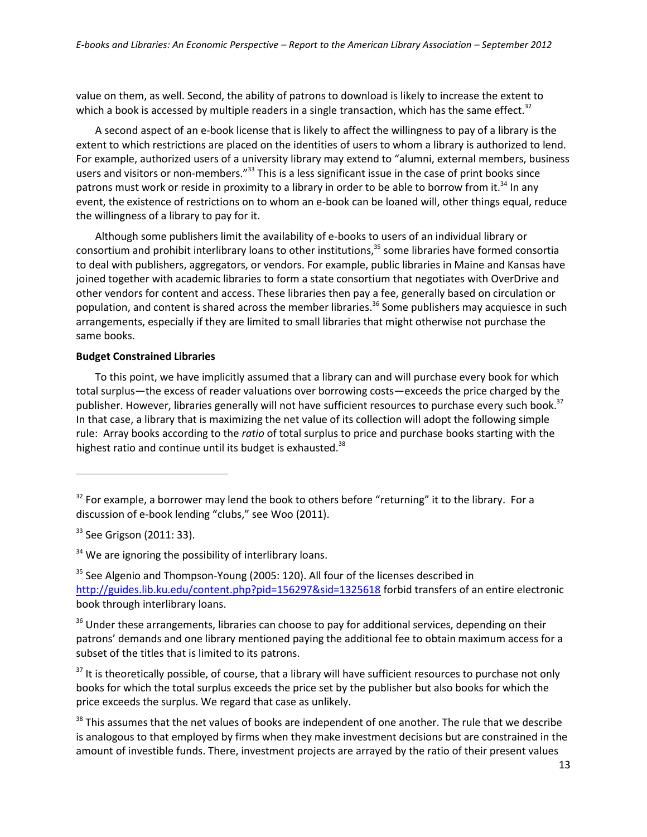value on them, as well. Second, the ability of patrons to download is likely to increase the extent to which a book is accessed by multiple readers in a single transaction, which has the same effect.<sup>32</sup>

A second aspect of an e-book license that is likely to affect the willingness to pay of a library is the extent to which restrictions are placed on the identities of users to whom a library is authorized to lend. For example, authorized users of a university library may extend to "alumni, external members, business users and visitors or non-members."<sup>33</sup> This is a less significant issue in the case of print books since patrons must work or reside in proximity to a library in order to be able to borrow from it.<sup>34</sup> In any event, the existence of restrictions on to whom an e-book can be loaned will, other things equal, reduce the willingness of a library to pay for it.

Although some publishers limit the availability of e-books to users of an individual library or consortium and prohibit interlibrary loans to other institutions, <sup>35</sup> some libraries have formed consortia to deal with publishers, aggregators, or vendors. For example, public libraries in Maine and Kansas have joined together with academic libraries to form a state consortium that negotiates with OverDrive and other vendors for content and access. These libraries then pay a fee, generally based on circulation or population, and content is shared across the member libraries.<sup>36</sup> Some publishers may acquiesce in such arrangements, especially if they are limited to small libraries that might otherwise not purchase the same books.

# **Budget Constrained Libraries**

To this point, we have implicitly assumed that a library can and will purchase every book for which total surplus—the excess of reader valuations over borrowing costs—exceeds the price charged by the publisher. However, libraries generally will not have sufficient resources to purchase every such book.<sup>37</sup> In that case, a library that is maximizing the net value of its collection will adopt the following simple rule: Array books according to the *ratio* of total surplus to price and purchase books starting with the highest ratio and continue until its budget is exhausted.<sup>38</sup>

 $\overline{a}$ 

 $34$  We are ignoring the possibility of interlibrary loans.

<sup>35</sup> See Algenio and Thompson-Young (2005: 120). All four of the licenses described in <http://guides.lib.ku.edu/content.php?pid=156297&sid=1325618> forbid transfers of an entire electronic book through interlibrary loans.

<sup>36</sup> Under these arrangements, libraries can choose to pay for additional services, depending on their patrons' demands and one library mentioned paying the additional fee to obtain maximum access for a subset of the titles that is limited to its patrons.

<sup>37</sup> It is theoretically possible, of course, that a library will have sufficient resources to purchase not only books for which the total surplus exceeds the price set by the publisher but also books for which the price exceeds the surplus. We regard that case as unlikely.

<sup>38</sup> This assumes that the net values of books are independent of one another. The rule that we describe is analogous to that employed by firms when they make investment decisions but are constrained in the amount of investible funds. There, investment projects are arrayed by the ratio of their present values

<sup>&</sup>lt;sup>32</sup> For example, a borrower may lend the book to others before "returning" it to the library. For a discussion of e-book lending "clubs," see Woo (2011).

 $33$  See Grigson (2011: 33).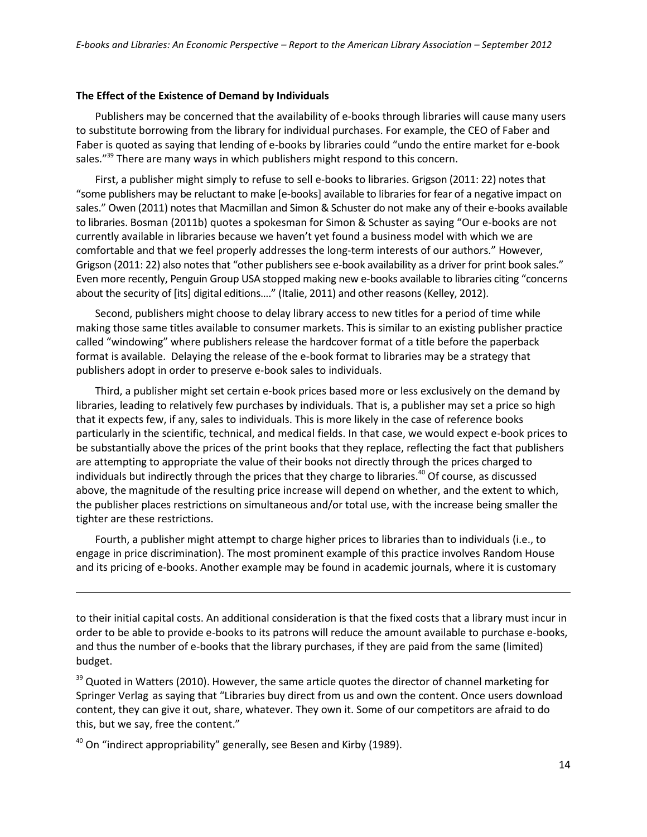#### **The Effect of the Existence of Demand by Individuals**

Publishers may be concerned that the availability of e-books through libraries will cause many users to substitute borrowing from the library for individual purchases. For example, the CEO of Faber and Faber is quoted as saying that lending of e-books by libraries could "undo the entire market for e-book sales."<sup>39</sup> There are many ways in which publishers might respond to this concern.

First, a publisher might simply to refuse to sell e-books to libraries. Grigson (2011: 22) notes that "some publishers may be reluctant to make [e-books] available to libraries for fear of a negative impact on sales." Owen (2011) notes that Macmillan and Simon & Schuster do not make any of their e-books available to libraries. Bosman (2011b) quotes a spokesman for Simon & Schuster as saying "Our e-books are not currently available in libraries because we haven't yet found a business model with which we are comfortable and that we feel properly addresses the long-term interests of our authors." However, Grigson (2011: 22) also notes that "other publishers see e-book availability as a driver for print book sales." Even more recently, Penguin Group USA stopped making new e-books available to libraries citing "concerns about the security of [its] digital editions...." (Italie, 2011) and other reasons (Kelley, 2012).

Second, publishers might choose to delay library access to new titles for a period of time while making those same titles available to consumer markets. This is similar to an existing publisher practice called "windowing" where publishers release the hardcover format of a title before the paperback format is available. Delaying the release of the e-book format to libraries may be a strategy that publishers adopt in order to preserve e-book sales to individuals.

Third, a publisher might set certain e-book prices based more or less exclusively on the demand by libraries, leading to relatively few purchases by individuals. That is, a publisher may set a price so high that it expects few, if any, sales to individuals. This is more likely in the case of reference books particularly in the scientific, technical, and medical fields. In that case, we would expect e-book prices to be substantially above the prices of the print books that they replace, reflecting the fact that publishers are attempting to appropriate the value of their books not directly through the prices charged to individuals but indirectly through the prices that they charge to libraries.<sup>40</sup> Of course, as discussed above, the magnitude of the resulting price increase will depend on whether, and the extent to which, the publisher places restrictions on simultaneous and/or total use, with the increase being smaller the tighter are these restrictions.

Fourth, a publisher might attempt to charge higher prices to libraries than to individuals (i.e., to engage in price discrimination). The most prominent example of this practice involves Random House and its pricing of e-books. Another example may be found in academic journals, where it is customary

to their initial capital costs. An additional consideration is that the fixed costs that a library must incur in order to be able to provide e-books to its patrons will reduce the amount available to purchase e-books, and thus the number of e-books that the library purchases, if they are paid from the same (limited) budget.

<sup>39</sup> Quoted in Watters (2010). However, the same article quotes the director of channel marketing for Springer Verlag as saying that "Libraries buy direct from us and own the content. Once users download content, they can give it out, share, whatever. They own it. Some of our competitors are afraid to do this, but we say, free the content."

 $40$  On "indirect appropriability" generally, see Besen and Kirby (1989).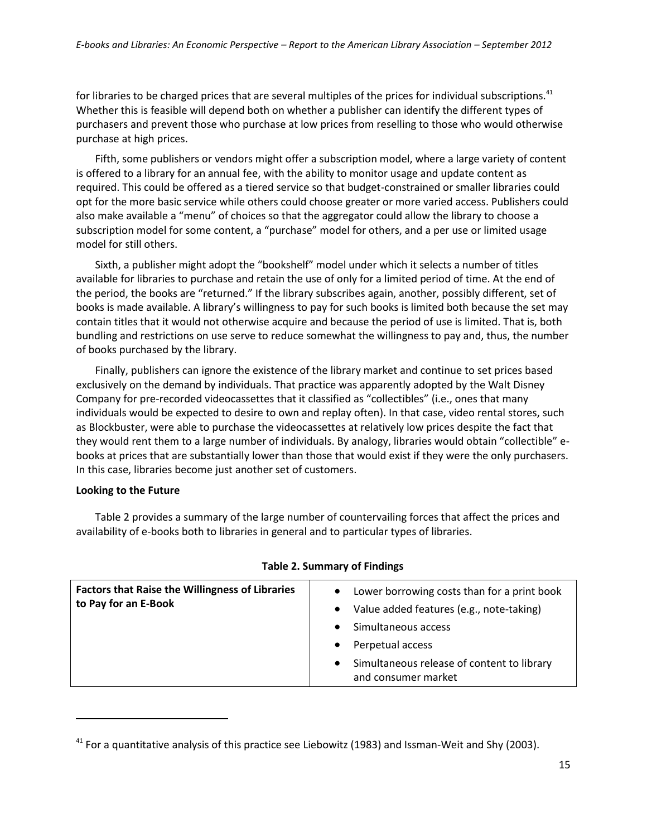for libraries to be charged prices that are several multiples of the prices for individual subscriptions.<sup>41</sup> Whether this is feasible will depend both on whether a publisher can identify the different types of purchasers and prevent those who purchase at low prices from reselling to those who would otherwise purchase at high prices.

Fifth, some publishers or vendors might offer a subscription model, where a large variety of content is offered to a library for an annual fee, with the ability to monitor usage and update content as required. This could be offered as a tiered service so that budget-constrained or smaller libraries could opt for the more basic service while others could choose greater or more varied access. Publishers could also make available a "menu" of choices so that the aggregator could allow the library to choose a subscription model for some content, a "purchase" model for others, and a per use or limited usage model for still others.

Sixth, a publisher might adopt the "bookshelf" model under which it selects a number of titles available for libraries to purchase and retain the use of only for a limited period of time. At the end of the period, the books are "returned." If the library subscribes again, another, possibly different, set of books is made available. A library's willingness to pay for such books is limited both because the set may contain titles that it would not otherwise acquire and because the period of use is limited. That is, both bundling and restrictions on use serve to reduce somewhat the willingness to pay and, thus, the number of books purchased by the library.

Finally, publishers can ignore the existence of the library market and continue to set prices based exclusively on the demand by individuals. That practice was apparently adopted by the Walt Disney Company for pre-recorded videocassettes that it classified as "collectibles" (i.e., ones that many individuals would be expected to desire to own and replay often). In that case, video rental stores, such as Blockbuster, were able to purchase the videocassettes at relatively low prices despite the fact that they would rent them to a large number of individuals. By analogy, libraries would obtain "collectible" ebooks at prices that are substantially lower than those that would exist if they were the only purchasers. In this case, libraries become just another set of customers.

#### **Looking to the Future**

 $\overline{a}$ 

Table 2 provides a summary of the large number of countervailing forces that affect the prices and availability of e-books both to libraries in general and to particular types of libraries.

| <b>Factors that Raise the Willingness of Libraries</b><br>to Pay for an E-Book | Lower borrowing costs than for a print book<br>$\bullet$<br>Value added features (e.g., note-taking)<br>$\bullet$<br>Simultaneous access<br>Perpetual access<br>$\bullet$<br>Simultaneous release of content to library<br>$\bullet$<br>and consumer market |
|--------------------------------------------------------------------------------|-------------------------------------------------------------------------------------------------------------------------------------------------------------------------------------------------------------------------------------------------------------|
|                                                                                |                                                                                                                                                                                                                                                             |

#### **Table 2. Summary of Findings**

 $41$  For a quantitative analysis of this practice see Liebowitz (1983) and Issman-Weit and Shy (2003).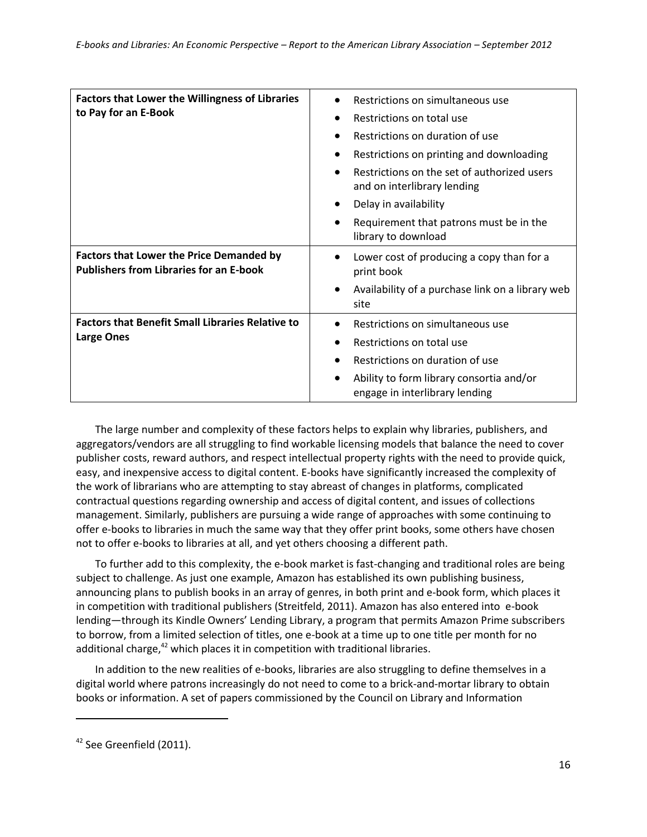| <b>Factors that Lower the Willingness of Libraries</b><br>to Pay for an E-Book                    | Restrictions on simultaneous use<br>Restrictions on total use<br>$\bullet$<br>Restrictions on duration of use<br>Restrictions on printing and downloading<br>٠<br>Restrictions on the set of authorized users<br>and on interlibrary lending<br>Delay in availability<br>$\bullet$ |
|---------------------------------------------------------------------------------------------------|------------------------------------------------------------------------------------------------------------------------------------------------------------------------------------------------------------------------------------------------------------------------------------|
|                                                                                                   | Requirement that patrons must be in the<br>library to download                                                                                                                                                                                                                     |
| <b>Factors that Lower the Price Demanded by</b><br><b>Publishers from Libraries for an E-book</b> | Lower cost of producing a copy than for a<br>print book                                                                                                                                                                                                                            |
|                                                                                                   | Availability of a purchase link on a library web<br>٠<br>site                                                                                                                                                                                                                      |
| <b>Factors that Benefit Small Libraries Relative to</b>                                           | Restrictions on simultaneous use                                                                                                                                                                                                                                                   |
| <b>Large Ones</b>                                                                                 | Restrictions on total use                                                                                                                                                                                                                                                          |
|                                                                                                   | Restrictions on duration of use                                                                                                                                                                                                                                                    |
|                                                                                                   | Ability to form library consortia and/or<br>engage in interlibrary lending                                                                                                                                                                                                         |

The large number and complexity of these factors helps to explain why libraries, publishers, and aggregators/vendors are all struggling to find workable licensing models that balance the need to cover publisher costs, reward authors, and respect intellectual property rights with the need to provide quick, easy, and inexpensive access to digital content. E-books have significantly increased the complexity of the work of librarians who are attempting to stay abreast of changes in platforms, complicated contractual questions regarding ownership and access of digital content, and issues of collections management. Similarly, publishers are pursuing a wide range of approaches with some continuing to offer e-books to libraries in much the same way that they offer print books, some others have chosen not to offer e-books to libraries at all, and yet others choosing a different path.

To further add to this complexity, the e-book market is fast-changing and traditional roles are being subject to challenge. As just one example, Amazon has established its own publishing business, announcing plans to publish books in an array of genres, in both print and e-book form, which places it in competition with traditional publishers (Streitfeld, 2011). Amazon has also entered into e-book lending—through its Kindle Owners' Lending Library, a program that permits Amazon Prime subscribers to borrow, from a limited selection of titles, one e-book at a time up to one title per month for no additional charge, $42$  which places it in competition with traditional libraries.

In addition to the new realities of e-books, libraries are also struggling to define themselves in a digital world where patrons increasingly do not need to come to a brick-and-mortar library to obtain books or information. A set of papers commissioned by the Council on Library and Information

<sup>&</sup>lt;sup>42</sup> See Greenfield (2011).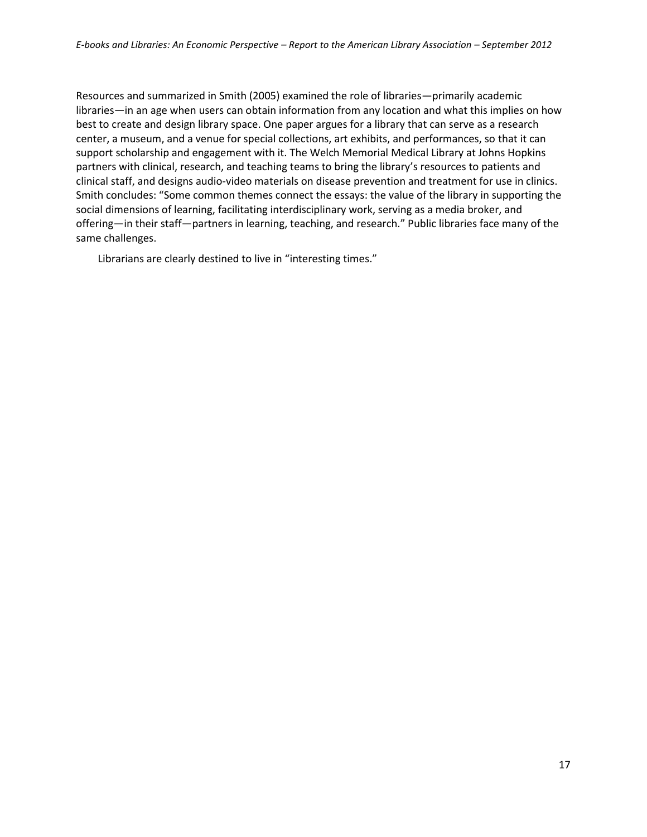Resources and summarized in Smith (2005) examined the role of libraries—primarily academic libraries—in an age when users can obtain information from any location and what this implies on how best to create and design library space. One paper argues for a library that can serve as a research center, a museum, and a venue for special collections, art exhibits, and performances, so that it can support scholarship and engagement with it. The Welch Memorial Medical Library at Johns Hopkins partners with clinical, research, and teaching teams to bring the library's resources to patients and clinical staff, and designs audio-video materials on disease prevention and treatment for use in clinics. Smith concludes: "Some common themes connect the essays: the value of the library in supporting the social dimensions of learning, facilitating interdisciplinary work, serving as a media broker, and offering—in their staff—partners in learning, teaching, and research." Public libraries face many of the same challenges.

Librarians are clearly destined to live in "interesting times."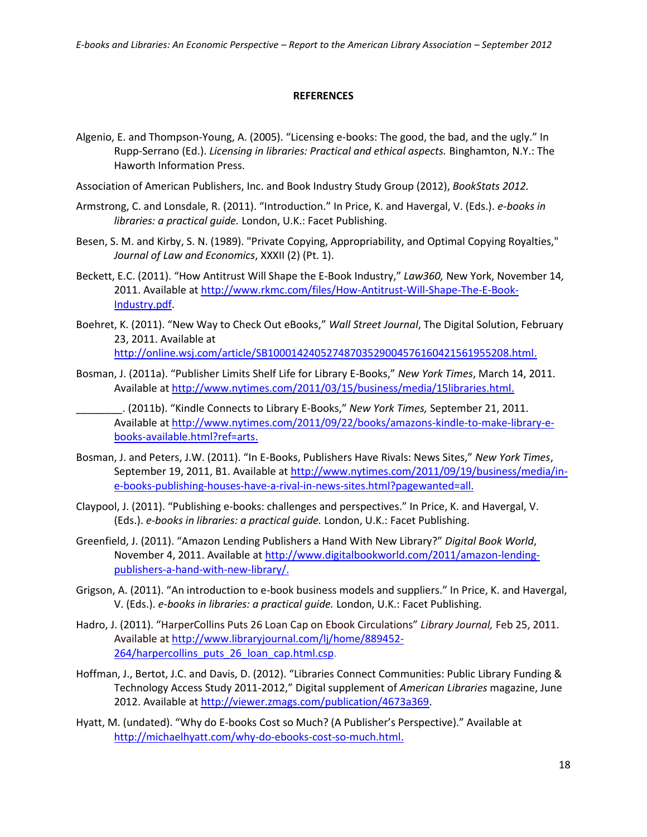#### **REFERENCES**

- Algenio, E. and Thompson-Young, A. (2005). "Licensing e-books: The good, the bad, and the ugly." In Rupp-Serrano (Ed.). *Licensing in libraries: Practical and ethical aspects.* Binghamton, N.Y.: The Haworth Information Press.
- Association of American Publishers, Inc. and Book Industry Study Group (2012), *BookStats 2012.*
- Armstrong, C. and Lonsdale, R. (2011). "Introduction." In Price, K. and Havergal, V. (Eds.). *e-books in libraries: a practical guide.* London, U.K.: Facet Publishing.
- Besen, S. M. and Kirby, S. N. (1989). "Private Copying, Appropriability, and Optimal Copying Royalties," *Journal of Law and Economics*, XXXII (2) (Pt. 1).
- Beckett, E.C. (2011). "How Antitrust Will Shape the E-Book Industry," *Law360,* New York, November 14*,*  2011. Available at [http://www.rkmc.com/files/How-Antitrust-Will-Shape-The-E-Book-](http://www.rkmc.com/files/How-Antitrust-Will-Shape-The-E-Book-Industry.pdf)[Industry.pdf.](http://www.rkmc.com/files/How-Antitrust-Will-Shape-The-E-Book-Industry.pdf)
- Boehret, K. (2011). "New Way to Check Out eBooks," *Wall Street Journal*, The Digital Solution, February 23, 2011. Available at [http://online.wsj.com/article/SB10001424052748703529004576160421561955208.html.](http://online.wsj.com/article/SB10001424052748703529004576160421561955208.html)
- Bosman, J. (2011a). "Publisher Limits Shelf Life for Library E-Books," *New York Times*, March 14, 2011. Available a[t http://www.nytimes.com/2011/03/15/business/media/15libraries.html.](http://www.nytimes.com/2011/03/15/business/media/15libraries.html)

\_\_\_\_\_\_\_\_. (2011b). "Kindle Connects to Library E-Books," *New York Times,* September 21, 2011. Available a[t http://www.nytimes.com/2011/09/22/books/amazons-kindle-to-make-library-e](http://www.nytimes.com/2011/09/22/books/amazons-kindle-to-make-library-e-books-available.html?ref=arts)[books-available.html?ref=arts.](http://www.nytimes.com/2011/09/22/books/amazons-kindle-to-make-library-e-books-available.html?ref=arts)

- Bosman, J. and Peters, J.W. (2011). "In E-Books, Publishers Have Rivals: News Sites," *New York Times*, September 19, 2011, B1. Available at [http://www.nytimes.com/2011/09/19/business/media/in](http://www.nytimes.com/2011/09/19/business/media/in-e-books-publishing-houses-have-a-rival-in-news-sites.html?pagewanted=all)[e-books-publishing-houses-have-a-rival-in-news-sites.html?pagewanted=all.](http://www.nytimes.com/2011/09/19/business/media/in-e-books-publishing-houses-have-a-rival-in-news-sites.html?pagewanted=all)
- Claypool, J. (2011). "Publishing e-books: challenges and perspectives." In Price, K. and Havergal, V. (Eds.). *e-books in libraries: a practical guide.* London, U.K.: Facet Publishing.
- Greenfield, J. (2011). "Amazon Lending Publishers a Hand With New Library?" *Digital Book World*, November 4, 2011. Available at [http://www.digitalbookworld.com/2011/amazon-lending](http://www.digitalbookworld.com/2011/amazon-lending-publishers-a-hand-with-new-library/)[publishers-a-hand-with-new-library/.](http://www.digitalbookworld.com/2011/amazon-lending-publishers-a-hand-with-new-library/)
- Grigson, A. (2011). "An introduction to e-book business models and suppliers." In Price, K. and Havergal, V. (Eds.). *e-books in libraries: a practical guide.* London, U.K.: Facet Publishing.
- Hadro, J. (2011). "HarperCollins Puts 26 Loan Cap on Ebook Circulations" *Library Journal,* Feb 25, 2011. Available at http://www.libraryjournal.com/lj/home/889452- 264/harpercollins puts 26 loan cap.html.csp.
- Hoffman, J., Bertot, J.C. and Davis, D. (2012). "Libraries Connect Communities: Public Library Funding & Technology Access Study 2011-2012," Digital supplement of *American Libraries* magazine, June 2012. Available at [http://viewer.zmags.com/publication/4673a369.](http://viewer.zmags.com/publication/4673a369)
- Hyatt, M. (undated). "Why do E-books Cost so Much? (A Publisher's Perspective)." Available at [http://michaelhyatt.com/why-do-ebooks-cost-so-much.html.](http://michaelhyatt.com/why-do-ebooks-cost-so-much.html)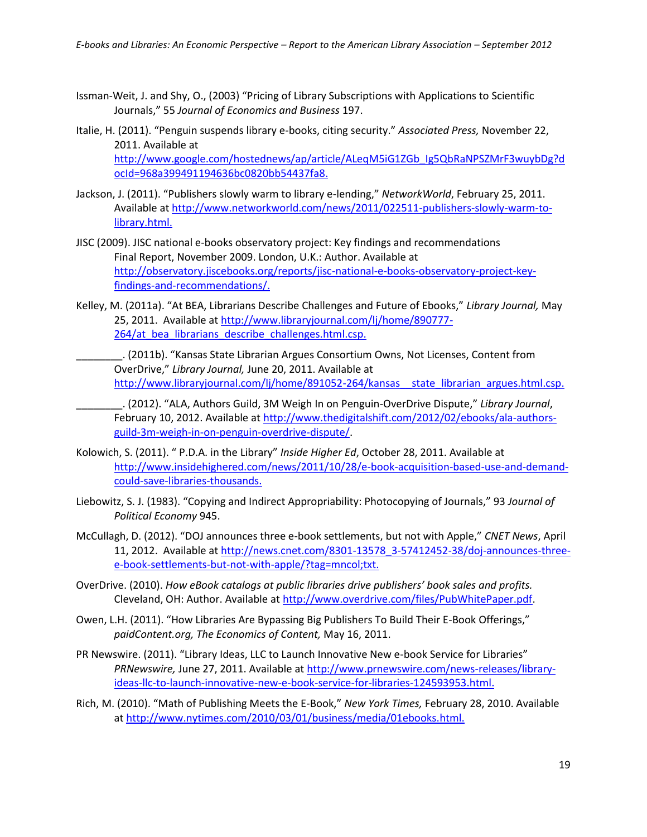- Issman-Weit, J. and Shy, O., (2003) "Pricing of Library Subscriptions with Applications to Scientific Journals," 55 *Journal of Economics and Business* 197.
- Italie, H. (2011). "Penguin suspends library e-books, citing security." *Associated Press,* November 22, 2011. Available at [http://www.google.com/hostednews/ap/article/ALeqM5iG1ZGb\\_Ig5QbRaNPSZMrF3wuybDg?d](http://www.google.com/hostednews/ap/article/ALeqM5iG1ZGb_Ig5QbRaNPSZMrF3wuybDg?docId=968a399491194636bc0820bb54437fa8) [ocId=968a399491194636bc0820bb54437fa8.](http://www.google.com/hostednews/ap/article/ALeqM5iG1ZGb_Ig5QbRaNPSZMrF3wuybDg?docId=968a399491194636bc0820bb54437fa8)
- Jackson, J. (2011). "Publishers slowly warm to library e-lending," *NetworkWorld*, February 25, 2011. Available a[t http://www.networkworld.com/news/2011/022511-publishers-slowly-warm-to](http://www.networkworld.com/news/2011/022511-publishers-slowly-warm-to-library.html)[library.html.](http://www.networkworld.com/news/2011/022511-publishers-slowly-warm-to-library.html)
- JISC (2009). JISC national e-books observatory project: Key findings and recommendations Final Report, November 2009. London, U.K.: Author. Available at [http://observatory.jiscebooks.org/reports/jisc-national-e-books-observatory-project-key](http://observatory.jiscebooks.org/reports/jisc-national-e-books-observatory-project-key-findings-and-recommendations/)[findings-and-recommendations/.](http://observatory.jiscebooks.org/reports/jisc-national-e-books-observatory-project-key-findings-and-recommendations/)
- Kelley, M. (2011a). "At BEA, Librarians Describe Challenges and Future of Ebooks," *Library Journal,* May 25, 2011. Available at [http://www.libraryjournal.com/lj/home/890777-](http://www.libraryjournal.com/lj/home/890777-264/at_bea_librarians_describe_challenges.html.csp) [264/at\\_bea\\_librarians\\_describe\\_challenges.html.csp.](http://www.libraryjournal.com/lj/home/890777-264/at_bea_librarians_describe_challenges.html.csp)
	- \_\_\_\_\_\_\_\_. (2011b). "Kansas State Librarian Argues Consortium Owns, Not Licenses, Content from OverDrive," *Library Journal,* June 20, 2011. Available at http://www.libraryjournal.com/lj/home/891052-264/kansas\_state\_librarian\_argues.html.csp.
- \_\_\_\_\_\_\_\_. (2012). "ALA, Authors Guild, 3M Weigh In on Penguin-OverDrive Dispute," *Library Journal*, February 10, 2012. Available at [http://www.thedigitalshift.com/2012/02/ebooks/ala-authors](http://www.thedigitalshift.com/2012/02/ebooks/ala-authors-guild-3m-weigh-in-on-penguin-overdrive-dispute/)[guild-3m-weigh-in-on-penguin-overdrive-dispute/.](http://www.thedigitalshift.com/2012/02/ebooks/ala-authors-guild-3m-weigh-in-on-penguin-overdrive-dispute/)
- Kolowich, S. (2011). " P.D.A. in the Library" *Inside Higher Ed*, October 28, 2011. Available at http://www.insidehighered.com/news/2011/10/28/e-book-acquisition-based-use-and-demandcould-save-libraries-thousands.
- Liebowitz, S. J. (1983). "Copying and Indirect Appropriability: Photocopying of Journals," 93 *Journal of Political Economy* 945.
- McCullagh, D. (2012). "DOJ announces three e-book settlements, but not with Apple," *CNET News*, April 11, 2012. Available at [http://news.cnet.com/8301-13578\\_3-57412452-38/doj-announces-three](http://news.cnet.com/8301-13578_3-57412452-38/doj-announces-three-e-book-settlements-but-not-with-apple/?tag=mncol;txt)[e-book-settlements-but-not-with-apple/?tag=mncol;txt.](http://news.cnet.com/8301-13578_3-57412452-38/doj-announces-three-e-book-settlements-but-not-with-apple/?tag=mncol;txt)
- OverDrive. (2010). *How eBook catalogs at public libraries drive publishers' book sales and profits.*  Cleveland, OH: Author. Available a[t http://www.overdrive.com/files/PubWhitePaper.pdf.](http://www.overdrive.com/files/PubWhitePaper.pdf)
- Owen, L.H. (2011). "How Libraries Are Bypassing Big Publishers To Build Their E-Book Offerings," *paidContent.org, The Economics of Content,* May 16, 2011.
- PR Newswire. (2011). "Library Ideas, LLC to Launch Innovative New e-book Service for Libraries" *PRNewswire,* June 27, 2011. Available at http://www.prnewswire.com/news-releases/libraryideas-llc-to-launch-innovative-new-e-book-service-for-libraries-124593953.html.
- Rich, M. (2010). "Math of Publishing Meets the E-Book," *New York Times,* February 28, 2010. Available a[t http://www.nytimes.com/2010/03/01/business/media/01ebooks.html.](http://www.nytimes.com/2010/03/01/business/media/01ebooks.html)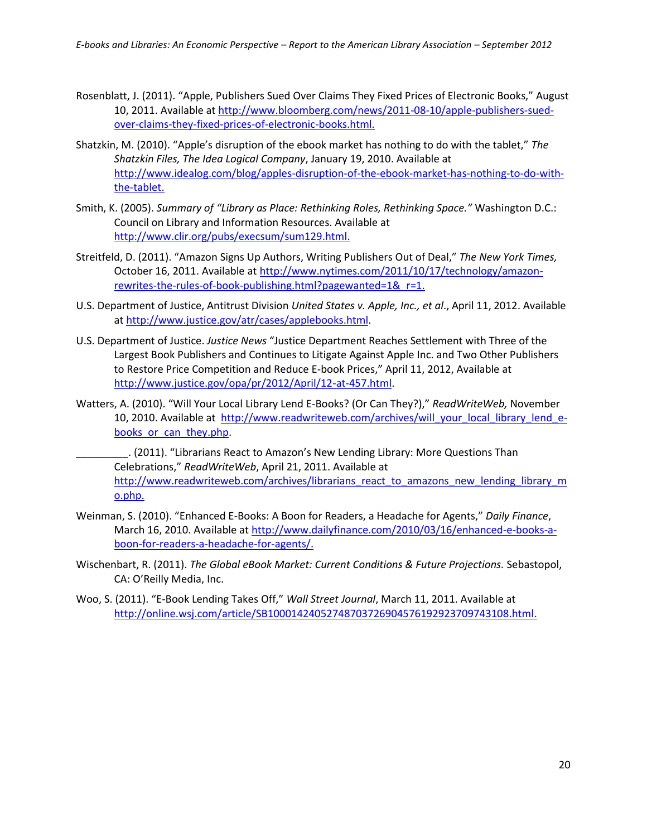- Rosenblatt, J. (2011). "Apple, Publishers Sued Over Claims They Fixed Prices of Electronic Books," August 10, 2011. Available a[t http://www.bloomberg.com/news/2011-08-10/apple-publishers-sued](http://www.bloomberg.com/news/2011-08-10/apple-publishers-sued-over-claims-they-fixed-prices-of-electronic-books.html)[over-claims-they-fixed-prices-of-electronic-books.html.](http://www.bloomberg.com/news/2011-08-10/apple-publishers-sued-over-claims-they-fixed-prices-of-electronic-books.html)
- Shatzkin, M. (2010). "Apple's disruption of the ebook market has nothing to do with the tablet," *The Shatzkin Files, The Idea Logical Company*, January 19, 2010. Available at [http://www.idealog.com/blog/apples-disruption-of-the-ebook-market-has-nothing-to-do-with](http://www.idealog.com/blog/apples-disruption-of-the-ebook-market-has-nothing-to-do-with-the-tablet)[the-tablet.](http://www.idealog.com/blog/apples-disruption-of-the-ebook-market-has-nothing-to-do-with-the-tablet)
- Smith, K. (2005). *Summary of "Library as Place: Rethinking Roles, Rethinking Space."* Washington D.C.: Council on Library and Information Resources. Available at [http://www.clir.org/pubs/execsum/sum129.html.](http://www.clir.org/pubs/execsum/sum129.html)
- Streitfeld, D. (2011). "Amazon Signs Up Authors, Writing Publishers Out of Deal," *The New York Times,*  October 16, 2011. Available at http://www.nytimes.com/2011/10/17/technology/amazonrewrites-the-rules-of-book-publishing.html?pagewanted=1&\_r=1.
- U.S. Department of Justice, Antitrust Division *United States v. Apple, Inc., et al*., April 11, 2012. Available a[t http://www.justice.gov/atr/cases/applebooks.html.](http://www.justice.gov/atr/cases/applebooks.html)
- U.S. Department of Justice. *Justice News* "Justice Department Reaches Settlement with Three of the Largest Book Publishers and Continues to Litigate Against Apple Inc. and Two Other Publishers to Restore Price Competition and Reduce E-book Prices," April 11, 2012, Available at [http://www.justice.gov/opa/pr/2012/April/12-at-457.html.](http://www.justice.gov/opa/pr/2012/April/12-at-457.html)
- Watters, A. (2010). "Will Your Local Library Lend E-Books? (Or Can They?)," *ReadWriteWeb,* November 10, 2010. Available at [http://www.readwriteweb.com/archives/will\\_your\\_local\\_library\\_lend\\_e](http://www.readwriteweb.com/archives/will_your_local_library_lend_e-books_or_can_they.php)books or can they.php.
- \_\_\_\_\_\_\_\_\_. (2011). "Librarians React to Amazon's New Lending Library: More Questions Than Celebrations," *ReadWriteWeb*, April 21, 2011. Available at [http://www.readwriteweb.com/archives/librarians\\_react\\_to\\_amazons\\_new\\_lending\\_library\\_m](http://www.readwriteweb.com/archives/librarians_react_to_amazons_new_lending_library_mo.php) [o.php.](http://www.readwriteweb.com/archives/librarians_react_to_amazons_new_lending_library_mo.php)
- Weinman, S. (2010). "Enhanced E-Books: A Boon for Readers, a Headache for Agents," *Daily Finance*, March 16, 2010. Available at [http://www.dailyfinance.com/2010/03/16/enhanced-e-books-a](http://www.dailyfinance.com/2010/03/16/enhanced-e-books-a-boon-for-readers-a-headache-for-agents/)[boon-for-readers-a-headache-for-agents/.](http://www.dailyfinance.com/2010/03/16/enhanced-e-books-a-boon-for-readers-a-headache-for-agents/)
- Wischenbart, R. (2011). *The Global eBook Market: Current Conditions & Future Projections.* Sebastopol, CA: O'Reilly Media, Inc.
- Woo, S. (2011). "E-Book Lending Takes Off," *Wall Street Journal*, March 11, 2011. Available at [http://online.wsj.com/article/SB10001424052748703726904576192923709743108.html.](http://online.wsj.com/article/SB10001424052748703726904576192923709743108.html)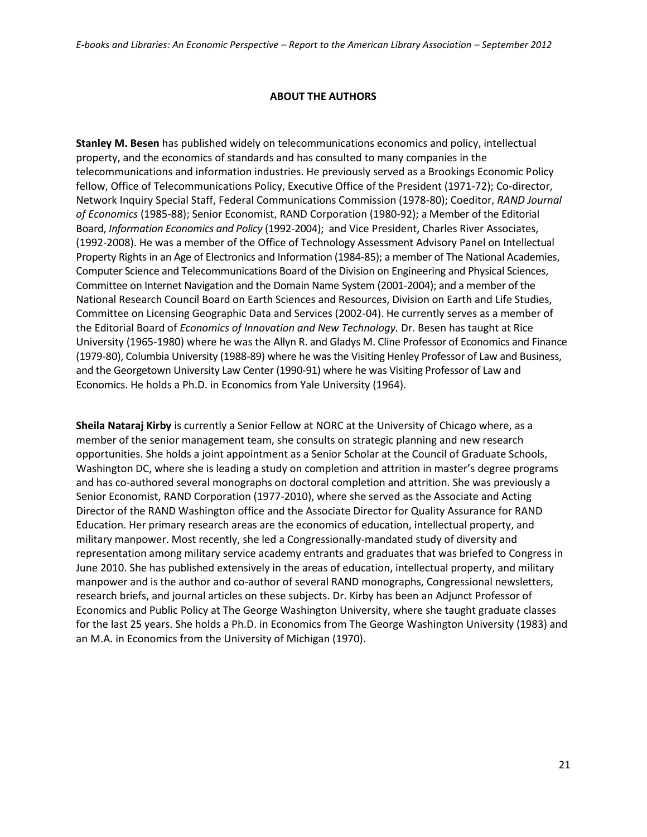## **ABOUT THE AUTHORS**

**Stanley M. Besen** has published widely on telecommunications economics and policy, intellectual property, and the economics of standards and has consulted to many companies in the telecommunications and information industries. He previously served as a Brookings Economic Policy fellow, Office of Telecommunications Policy, Executive Office of the President (1971-72); Co-director, Network Inquiry Special Staff, Federal Communications Commission (1978-80); Coeditor, *RAND Journal of Economics* (1985-88); Senior Economist, RAND Corporation (1980-92); a Member of the Editorial Board, *Information Economics and Policy* (1992-2004); and Vice President, Charles River Associates, (1992-2008). He was a member of the Office of Technology Assessment Advisory Panel on Intellectual Property Rights in an Age of Electronics and Information (1984-85); a member of The National Academies, Computer Science and Telecommunications Board of the Division on Engineering and Physical Sciences, Committee on Internet Navigation and the Domain Name System (2001-2004); and a member of the National Research Council Board on Earth Sciences and Resources, Division on Earth and Life Studies, Committee on Licensing Geographic Data and Services (2002-04). He currently serves as a member of the Editorial Board of *Economics of Innovation and New Technology.* Dr. Besen has taught at Rice University (1965-1980) where he was the Allyn R. and Gladys M. Cline Professor of Economics and Finance (1979-80), Columbia University (1988-89) where he was the Visiting Henley Professor of Law and Business, and the Georgetown University Law Center (1990-91) where he was Visiting Professor of Law and Economics. He holds a Ph.D. in Economics from Yale University (1964).

**Sheila Nataraj Kirby** is currently a Senior Fellow at NORC at the University of Chicago where, as a member of the senior management team, she consults on strategic planning and new research opportunities. She holds a joint appointment as a Senior Scholar at the Council of Graduate Schools, Washington DC, where she is leading a study on completion and attrition in master's degree programs and has co-authored several monographs on doctoral completion and attrition. She was previously a Senior Economist, RAND Corporation (1977-2010), where she served as the Associate and Acting Director of the RAND Washington office and the Associate Director for Quality Assurance for RAND Education. Her primary research areas are the economics of education, intellectual property, and military manpower. Most recently, she led a Congressionally-mandated study of diversity and representation among military service academy entrants and graduates that was briefed to Congress in June 2010. She has published extensively in the areas of education, intellectual property, and military manpower and is the author and co-author of several RAND monographs, Congressional newsletters, research briefs, and journal articles on these subjects. Dr. Kirby has been an Adjunct Professor of Economics and Public Policy at The George Washington University, where she taught graduate classes for the last 25 years. She holds a Ph.D. in Economics from The George Washington University (1983) and an M.A. in Economics from the University of Michigan (1970).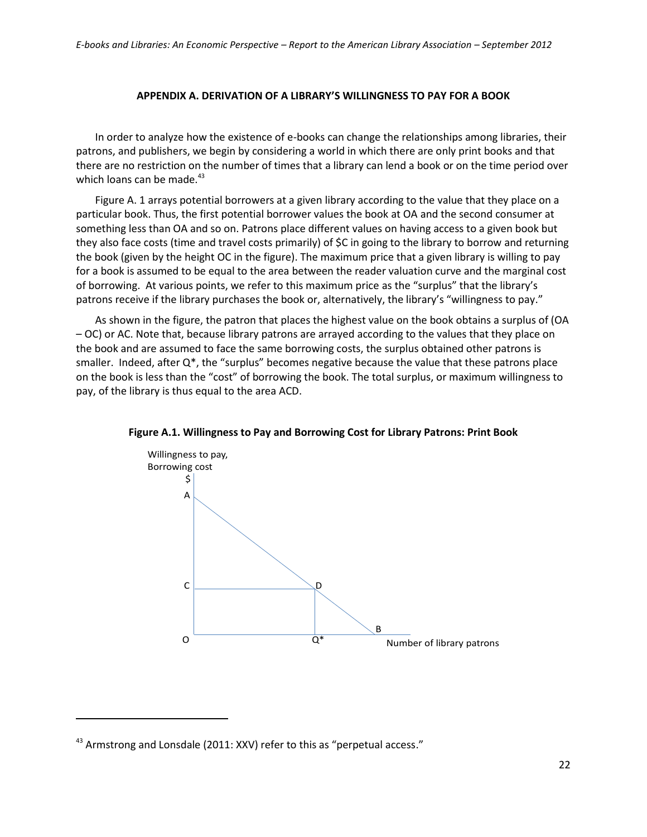#### **APPENDIX A. DERIVATION OF A LIBRARY'S WILLINGNESS TO PAY FOR A BOOK**

In order to analyze how the existence of e-books can change the relationships among libraries, their patrons, and publishers, we begin by considering a world in which there are only print books and that there are no restriction on the number of times that a library can lend a book or on the time period over which loans can be made. $43$ 

Figure A. 1 arrays potential borrowers at a given library according to the value that they place on a particular book. Thus, the first potential borrower values the book at OA and the second consumer at something less than OA and so on. Patrons place different values on having access to a given book but they also face costs (time and travel costs primarily) of \$C in going to the library to borrow and returning the book (given by the height OC in the figure). The maximum price that a given library is willing to pay for a book is assumed to be equal to the area between the reader valuation curve and the marginal cost of borrowing. At various points, we refer to this maximum price as the "surplus" that the library's patrons receive if the library purchases the book or, alternatively, the library's "willingness to pay."

As shown in the figure, the patron that places the highest value on the book obtains a surplus of (OA – OC) or AC. Note that, because library patrons are arrayed according to the values that they place on the book and are assumed to face the same borrowing costs, the surplus obtained other patrons is smaller. Indeed, after  $Q^*$ , the "surplus" becomes negative because the value that these patrons place on the book is less than the "cost" of borrowing the book. The total surplus, or maximum willingness to pay, of the library is thus equal to the area ACD.



**Figure A.1. Willingness to Pay and Borrowing Cost for Library Patrons: Print Book**

 $43$  Armstrong and Lonsdale (2011: XXV) refer to this as "perpetual access."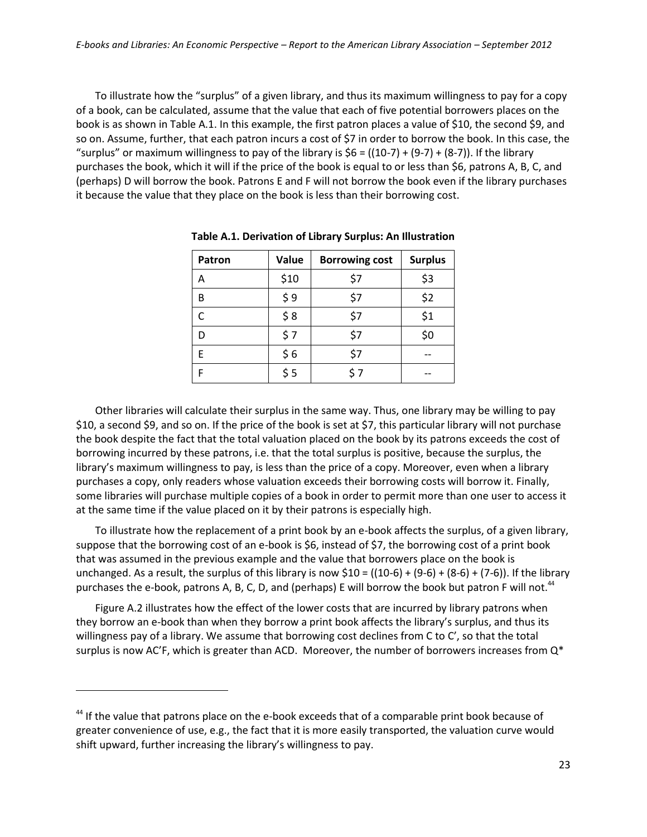To illustrate how the "surplus" of a given library, and thus its maximum willingness to pay for a copy of a book, can be calculated, assume that the value that each of five potential borrowers places on the book is as shown in Table A.1. In this example, the first patron places a value of \$10, the second \$9, and so on. Assume, further, that each patron incurs a cost of \$7 in order to borrow the book. In this case, the "surplus" or maximum willingness to pay of the library is  $$6 = ((10-7) + (9-7) + (8-7))$ . If the library purchases the book, which it will if the price of the book is equal to or less than \$6, patrons A, B, C, and (perhaps) D will borrow the book. Patrons E and F will not borrow the book even if the library purchases it because the value that they place on the book is less than their borrowing cost.

| Patron | Value | <b>Borrowing cost</b> | <b>Surplus</b> |
|--------|-------|-----------------------|----------------|
| Α      | \$10  | \$7                   | \$3            |
| B      | \$9   | \$7                   | \$2            |
|        | \$8   | \$7                   | \$1            |
| D      | \$7   | \$7                   | \$0            |
| F      | \$6   | \$7                   |                |
|        | \$5   | ን                     |                |

**Table A.1. Derivation of Library Surplus: An Illustration**

Other libraries will calculate their surplus in the same way. Thus, one library may be willing to pay \$10, a second \$9, and so on. If the price of the book is set at \$7, this particular library will not purchase the book despite the fact that the total valuation placed on the book by its patrons exceeds the cost of borrowing incurred by these patrons, i.e. that the total surplus is positive, because the surplus, the library's maximum willingness to pay, is less than the price of a copy. Moreover, even when a library purchases a copy, only readers whose valuation exceeds their borrowing costs will borrow it. Finally, some libraries will purchase multiple copies of a book in order to permit more than one user to access it at the same time if the value placed on it by their patrons is especially high.

To illustrate how the replacement of a print book by an e-book affects the surplus, of a given library, suppose that the borrowing cost of an e-book is \$6, instead of \$7, the borrowing cost of a print book that was assumed in the previous example and the value that borrowers place on the book is unchanged. As a result, the surplus of this library is now  $$10 = ((10-6) + (9-6) + (8-6) + (7-6))$ . If the library purchases the e-book, patrons A, B, C, D, and (perhaps) E will borrow the book but patron F will not.<sup>44</sup>

Figure A.2 illustrates how the effect of the lower costs that are incurred by library patrons when they borrow an e-book than when they borrow a print book affects the library's surplus, and thus its willingness pay of a library. We assume that borrowing cost declines from C to C', so that the total surplus is now AC'F, which is greater than ACD. Moreover, the number of borrowers increases from  $Q^*$ 

<sup>&</sup>lt;sup>44</sup> If the value that patrons place on the e-book exceeds that of a comparable print book because of greater convenience of use, e.g., the fact that it is more easily transported, the valuation curve would shift upward, further increasing the library's willingness to pay.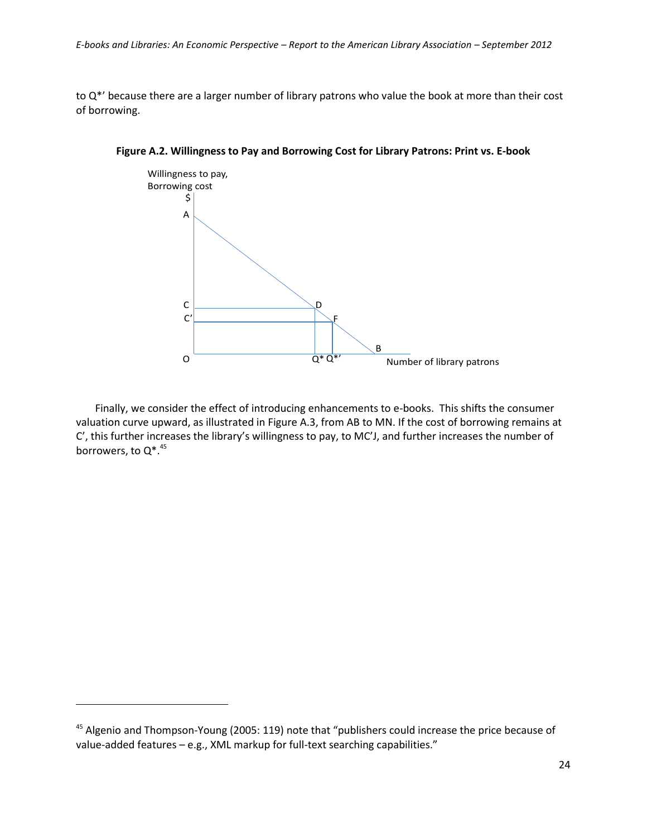to Q\*' because there are a larger number of library patrons who value the book at more than their cost of borrowing.



**Figure A.2. Willingness to Pay and Borrowing Cost for Library Patrons: Print vs. E-book**

Finally, we consider the effect of introducing enhancements to e-books. This shifts the consumer valuation curve upward, as illustrated in Figure A.3, from AB to MN. If the cost of borrowing remains at C', this further increases the library's willingness to pay, to MC'J, and further increases the number of borrowers, to  $Q^*$ . <sup>45</sup>

<sup>&</sup>lt;sup>45</sup> Algenio and Thompson-Young (2005: 119) note that "publishers could increase the price because of value-added features – e.g., XML markup for full-text searching capabilities."